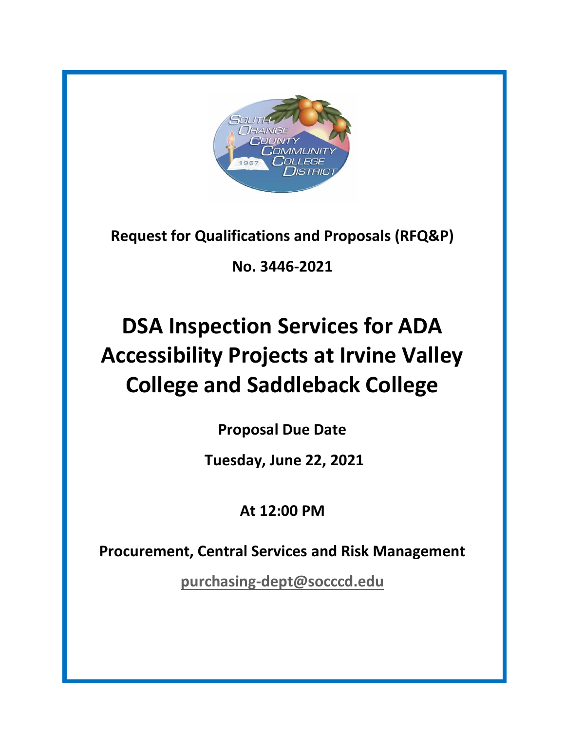

**Request for Qualifications and Proposals (RFQ&P)**

**No. 3446-2021**

# **DSA Inspection Services for ADA Accessibility Projects at Irvine Valley College and Saddleback College**

**Proposal Due Date**

**Tuesday, June 22, 2021**

**At 12:00 PM**

**Procurement, Central Services and Risk Management**

**[purchasing-dept@socccd.edu](mailto:purchasing-dept@socccd.edu)**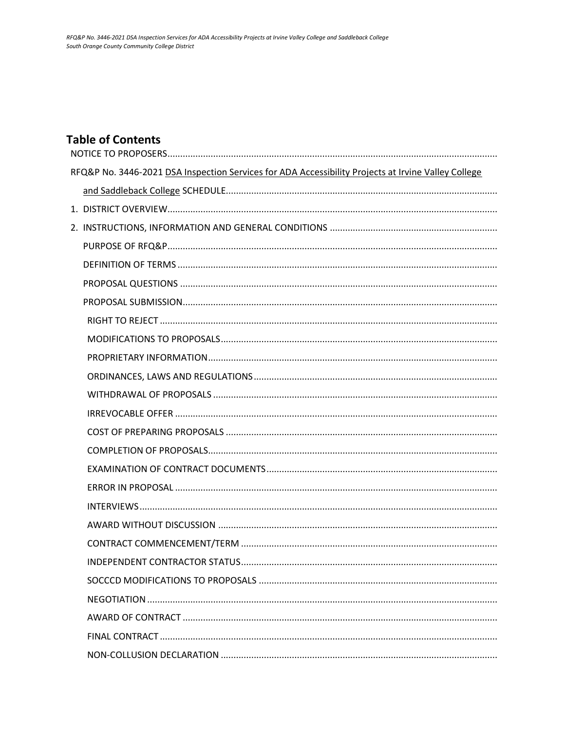### **Table of Contents**

| RFQ&P No. 3446-2021 DSA Inspection Services for ADA Accessibility Projects at Irvine Valley College |
|-----------------------------------------------------------------------------------------------------|
|                                                                                                     |
|                                                                                                     |
|                                                                                                     |
|                                                                                                     |
|                                                                                                     |
|                                                                                                     |
|                                                                                                     |
|                                                                                                     |
|                                                                                                     |
|                                                                                                     |
|                                                                                                     |
|                                                                                                     |
|                                                                                                     |
|                                                                                                     |
|                                                                                                     |
|                                                                                                     |
|                                                                                                     |
|                                                                                                     |
|                                                                                                     |
|                                                                                                     |
|                                                                                                     |
|                                                                                                     |
|                                                                                                     |
|                                                                                                     |
|                                                                                                     |
|                                                                                                     |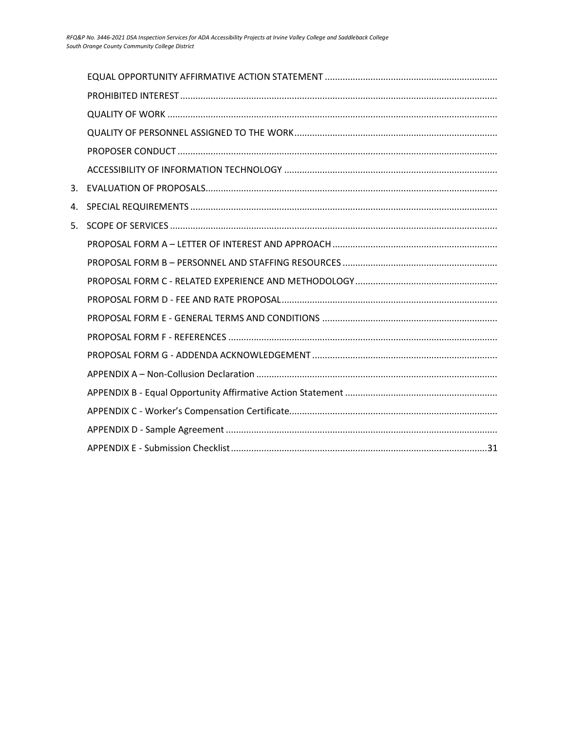| 3. |  |
|----|--|
| 4. |  |
| 5. |  |
|    |  |
|    |  |
|    |  |
|    |  |
|    |  |
|    |  |
|    |  |
|    |  |
|    |  |
|    |  |
|    |  |
|    |  |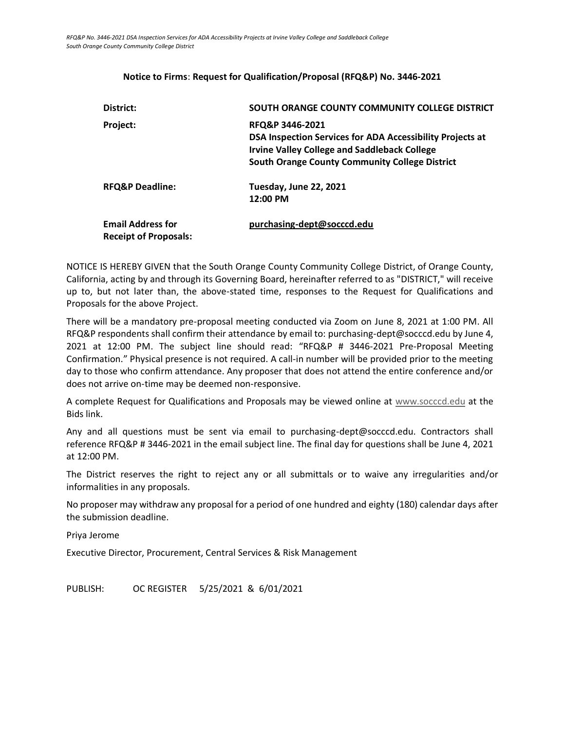### <span id="page-3-0"></span>**District: SOUTH ORANGE COUNTY COMMUNITY COLLEGE DISTRICT Project: RFQ&P 3446-2021 DSA Inspection Services for ADA Accessibility Projects at Irvine Valley College and Saddleback College South Orange County Community College District RFQ&P Deadline: Tuesday, June 22, 2021 12:00 PM Email Address for Receipt of Proposals: [purchasing-dept@socccd.edu](mailto:purchasing-dept@socccd.edu)**

#### **Notice to Firms**: **Request for Qualification/Proposal (RFQ&P) No. 3446-2021**

NOTICE IS HEREBY GIVEN that the South Orange County Community College District, of Orange County, California, acting by and through its Governing Board, hereinafter referred to as "DISTRICT," will receive up to, but not later than, the above-stated time, responses to the Request for Qualifications and Proposals for the above Project.

There will be a mandatory pre-proposal meeting conducted via Zoom on June 8, 2021 at 1:00 PM. All RFQ&P respondents shall confirm their attendance by email to: purchasing-dept@socccd.edu by June 4, 2021 at 12:00 PM. The subject line should read: "RFQ&P # 3446-2021 Pre-Proposal Meeting Confirmation." Physical presence is not required. A call-in number will be provided prior to the meeting day to those who confirm attendance. Any proposer that does not attend the entire conference and/or does not arrive on-time may be deemed non-responsive.

A complete Request for Qualifications and Proposals may be viewed online at [www.socccd.edu](http://www.socccd.edu/) at the Bids link.

Any and all questions must be sent via email to purchasing-dept@socccd.edu. Contractors shall reference RFQ&P # 3446-2021 in the email subject line. The final day for questions shall be June 4, 2021 at 12:00 PM.

The District reserves the right to reject any or all submittals or to waive any irregularities and/or informalities in any proposals.

No proposer may withdraw any proposal for a period of one hundred and eighty (180) calendar days after the submission deadline.

Priya Jerome

Executive Director, Procurement, Central Services & Risk Management

<span id="page-3-1"></span>PUBLISH: OC REGISTER 5/25/2021 & 6/01/2021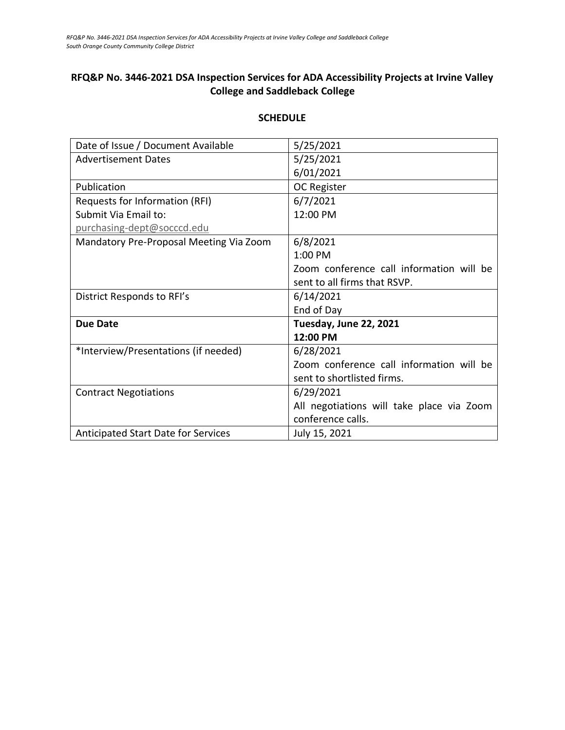### **RFQ&P No. 3446-2021 DSA Inspection Services for ADA Accessibility Projects at Irvine Valley College and Saddleback College**

| Date of Issue / Document Available         | 5/25/2021                                 |
|--------------------------------------------|-------------------------------------------|
| <b>Advertisement Dates</b>                 | 5/25/2021                                 |
|                                            | 6/01/2021                                 |
| Publication                                | OC Register                               |
| Requests for Information (RFI)             | 6/7/2021                                  |
| Submit Via Email to:                       | 12:00 PM                                  |
| purchasing-dept@socccd.edu                 |                                           |
| Mandatory Pre-Proposal Meeting Via Zoom    | 6/8/2021                                  |
|                                            | $1:00$ PM                                 |
|                                            | Zoom conference call information will be  |
|                                            | sent to all firms that RSVP.              |
| District Responds to RFI's                 | 6/14/2021                                 |
|                                            | End of Day                                |
| <b>Due Date</b>                            | Tuesday, June 22, 2021                    |
|                                            | 12:00 PM                                  |
| *Interview/Presentations (if needed)       | 6/28/2021                                 |
|                                            | Zoom conference call information will be  |
|                                            | sent to shortlisted firms.                |
| <b>Contract Negotiations</b>               | 6/29/2021                                 |
|                                            | All negotiations will take place via Zoom |
|                                            | conference calls.                         |
| <b>Anticipated Start Date for Services</b> | July 15, 2021                             |

#### **SCHEDULE**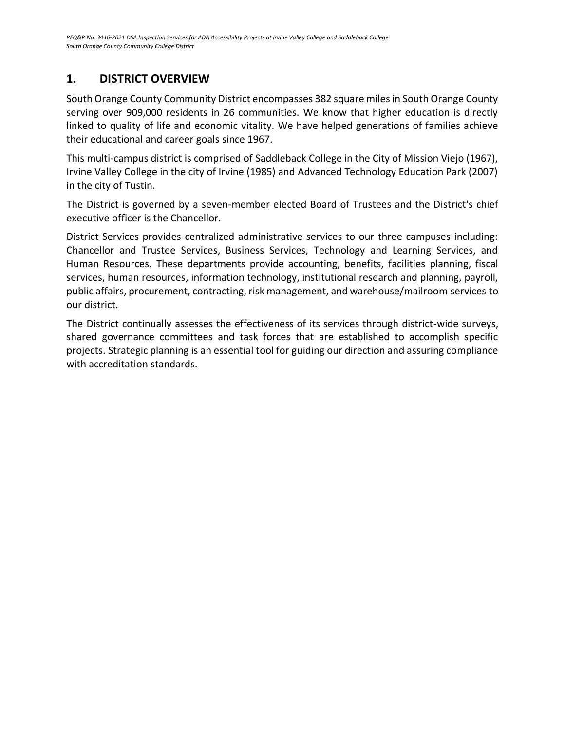### <span id="page-5-0"></span>**1. DISTRICT OVERVIEW**

South Orange County Community District encompasses 382 square miles in South Orange County serving over 909,000 residents in 26 communities. We know that higher education is directly linked to quality of life and economic vitality. We have helped generations of families achieve their educational and career goals since 1967.

This multi-campus district is comprised of Saddleback College in the City of Mission Viejo (1967), Irvine Valley College in the city of Irvine (1985) and Advanced Technology Education Park (2007) in the city of Tustin.

The District is governed by a seven-member elected Board of Trustees and the District's chief executive officer is the Chancellor.

District Services provides centralized administrative services to our three campuses including: Chancellor and Trustee Services, Business Services, Technology and Learning Services, and Human Resources. These departments provide accounting, benefits, facilities planning, fiscal services, human resources, information technology, institutional research and planning, payroll, public affairs, procurement, contracting, risk management, and warehouse/mailroom services to our district.

The District continually assesses the effectiveness of its services through district-wide surveys, shared governance committees and task forces that are established to accomplish specific projects. Strategic planning is an essential tool for guiding our direction and assuring compliance with accreditation standards.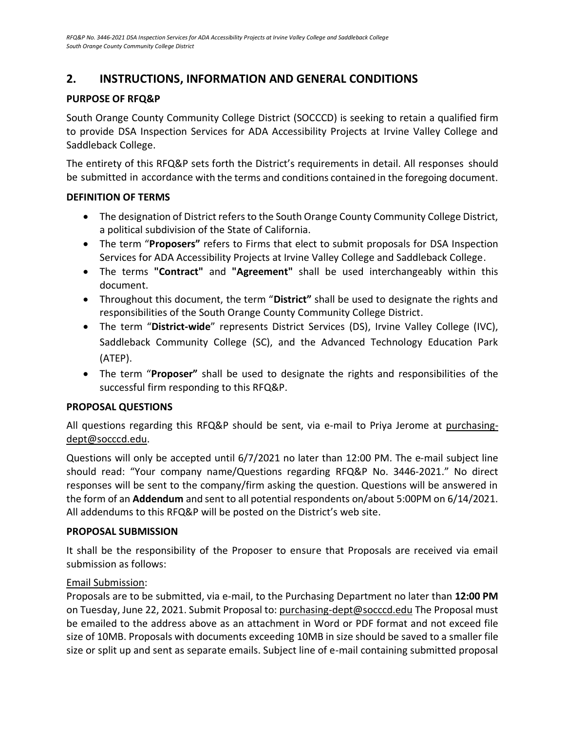### <span id="page-6-0"></span>**2. INSTRUCTIONS, INFORMATION AND GENERAL CONDITIONS**

### <span id="page-6-1"></span>**PURPOSE OF RFQ&P**

South Orange County Community College District (SOCCCD) is seeking to retain a qualified firm to provide DSA Inspection Services for ADA Accessibility Projects at Irvine Valley College and Saddleback College.

The entirety of this RFQ&P sets forth the District's requirements in detail. All responses should be submitted in accordance with the terms and conditions contained in the foregoing document.

### <span id="page-6-2"></span>**DEFINITION OF TERMS**

- The designation of District refers to the South Orange County Community College District, a political subdivision of the State of California.
- The term "**Proposers"** refers to Firms that elect to submit proposals for DSA Inspection Services for ADA Accessibility Projects at Irvine Valley College and Saddleback College.
- The terms **"Contract"** and **"Agreement"** shall be used interchangeably within this document.
- Throughout this document, the term "**District"** shall be used to designate the rights and responsibilities of the South Orange County Community College District.
- The term "**District-wide**" represents District Services (DS), Irvine Valley College (IVC), Saddleback Community College (SC), and the Advanced Technology Education Park (ATEP).
- The term "**Proposer"** shall be used to designate the rights and responsibilities of the successful firm responding to this RFQ&P.

### <span id="page-6-3"></span>**PROPOSAL QUESTIONS**

All questions regarding this RFQ&P should be sent, via e-mail to Priya Jerome at purchasingdept@socccd.edu.

Questions will only be accepted until 6/7/2021 no later than 12:00 PM. The e-mail subject line should read: "Your company name/Questions regarding RFQ&P No. 3446-2021." No direct responses will be sent to the company/firm asking the question. Questions will be answered in the form of an **Addendum** and sent to all potential respondents on/about 5:00PM on 6/14/2021. All addendums to this RFQ&P will be posted on the District's web site.

### <span id="page-6-4"></span>**PROPOSAL SUBMISSION**

It shall be the responsibility of the Proposer to ensure that Proposals are received via email submission as follows:

### Email Submission:

Proposals are to be submitted, via e-mail, to the Purchasing Department no later than **12:00 PM** on Tuesday, June 22, 2021. Submit Proposal to: [purchasing-dept@socccd.edu](mailto:purchasing-dept@socccd.edu) The Proposal must be emailed to the address above as an attachment in Word or PDF format and not exceed file size of 10MB. Proposals with documents exceeding 10MB in size should be saved to a smaller file size or split up and sent as separate emails. Subject line of e-mail containing submitted proposal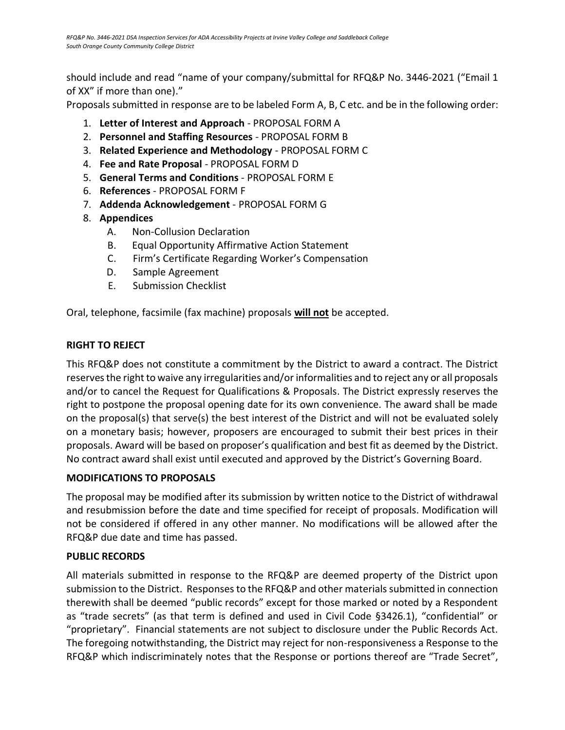should include and read "name of your company/submittal for RFQ&P No. 3446-2021 ("Email 1 of XX" if more than one)."

Proposals submitted in response are to be labeled Form A, B, C etc. and be in the following order:

- 1. **Letter of Interest and Approach** PROPOSAL FORM A
- 2. **Personnel and Staffing Resources** PROPOSAL FORM B
- 3. **Related Experience and Methodology** PROPOSAL FORM C
- 4. **Fee and Rate Proposal** PROPOSAL FORM D
- 5. **General Terms and Conditions** PROPOSAL FORM E
- 6. **References** PROPOSAL FORM F
- 7. **Addenda Acknowledgement** PROPOSAL FORM G
- 8. **Appendices**
	- A. Non-Collusion Declaration
	- B. Equal Opportunity Affirmative Action Statement
	- C. Firm's Certificate Regarding Worker's Compensation
	- D. Sample Agreement
	- E. Submission Checklist

<span id="page-7-0"></span>Oral, telephone, facsimile (fax machine) proposals **will not** be accepted.

### **RIGHT TO REJECT**

This RFQ&P does not constitute a commitment by the District to award a contract. The District reserves the right to waive any irregularities and/or informalities and to reject any or all proposals and/or to cancel the Request for Qualifications & Proposals. The District expressly reserves the right to postpone the proposal opening date for its own convenience. The award shall be made on the proposal(s) that serve(s) the best interest of the District and will not be evaluated solely on a monetary basis; however, proposers are encouraged to submit their best prices in their proposals. Award will be based on proposer's qualification and best fit as deemed by the District. No contract award shall exist until executed and approved by the District's Governing Board.

### <span id="page-7-1"></span>**MODIFICATIONS TO PROPOSALS**

The proposal may be modified after its submission by written notice to the District of withdrawal and resubmission before the date and time specified for receipt of proposals. Modification will not be considered if offered in any other manner. No modifications will be allowed after the RFQ&P due date and time has passed.

### **PUBLIC RECORDS**

All materials submitted in response to the RFQ&P are deemed property of the District upon submission to the District. Responses to the RFQ&P and other materials submitted in connection therewith shall be deemed "public records" except for those marked or noted by a Respondent as "trade secrets" (as that term is defined and used in Civil Code §3426.1), "confidential" or "proprietary". Financial statements are not subject to disclosure under the Public Records Act. The foregoing notwithstanding, the District may reject for non-responsiveness a Response to the RFQ&P which indiscriminately notes that the Response or portions thereof are "Trade Secret",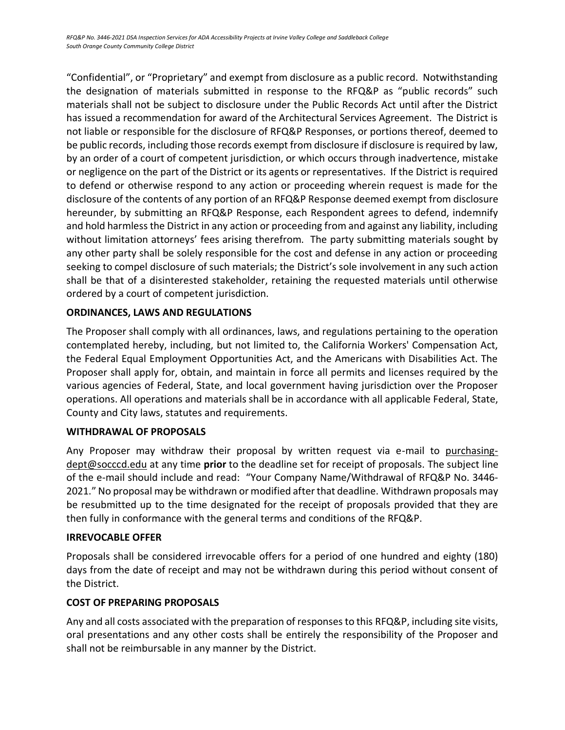"Confidential", or "Proprietary" and exempt from disclosure as a public record. Notwithstanding the designation of materials submitted in response to the RFQ&P as "public records" such materials shall not be subject to disclosure under the Public Records Act until after the District has issued a recommendation for award of the Architectural Services Agreement. The District is not liable or responsible for the disclosure of RFQ&P Responses, or portions thereof, deemed to be public records, including those records exempt from disclosure if disclosure is required by law, by an order of a court of competent jurisdiction, or which occurs through inadvertence, mistake or negligence on the part of the District or its agents or representatives. If the District is required to defend or otherwise respond to any action or proceeding wherein request is made for the disclosure of the contents of any portion of an RFQ&P Response deemed exempt from disclosure hereunder, by submitting an RFQ&P Response, each Respondent agrees to defend, indemnify and hold harmless the District in any action or proceeding from and against any liability, including without limitation attorneys' fees arising therefrom. The party submitting materials sought by any other party shall be solely responsible for the cost and defense in any action or proceeding seeking to compel disclosure of such materials; the District's sole involvement in any such action shall be that of a disinterested stakeholder, retaining the requested materials until otherwise ordered by a court of competent jurisdiction.

### <span id="page-8-0"></span>**ORDINANCES, LAWS AND REGULATIONS**

The Proposer shall comply with all ordinances, laws, and regulations pertaining to the operation contemplated hereby, including, but not limited to, the California Workers' Compensation Act, the Federal Equal Employment Opportunities Act, and the Americans with Disabilities Act. The Proposer shall apply for, obtain, and maintain in force all permits and licenses required by the various agencies of Federal, State, and local government having jurisdiction over the Proposer operations. All operations and materials shall be in accordance with all applicable Federal, State, County and City laws, statutes and requirements.

### <span id="page-8-1"></span>**WITHDRAWAL OF PROPOSALS**

Any Proposer may withdraw their proposal by written request via e-mail to purchasingdept@socccd.edu at any time **prior** to the deadline set for receipt of proposals. The subject line of the e-mail should include and read: "Your Company Name/Withdrawal of RFQ&P No. 3446- 2021." No proposal may be withdrawn or modified after that deadline. Withdrawn proposals may be resubmitted up to the time designated for the receipt of proposals provided that they are then fully in conformance with the general terms and conditions of the RFQ&P.

### <span id="page-8-2"></span>**IRREVOCABLE OFFER**

Proposals shall be considered irrevocable offers for a period of one hundred and eighty (180) days from the date of receipt and may not be withdrawn during this period without consent of the District.

### <span id="page-8-3"></span>**COST OF PREPARING PROPOSALS**

Any and all costs associated with the preparation of responses to this RFQ&P, including site visits, oral presentations and any other costs shall be entirely the responsibility of the Proposer and shall not be reimbursable in any manner by the District.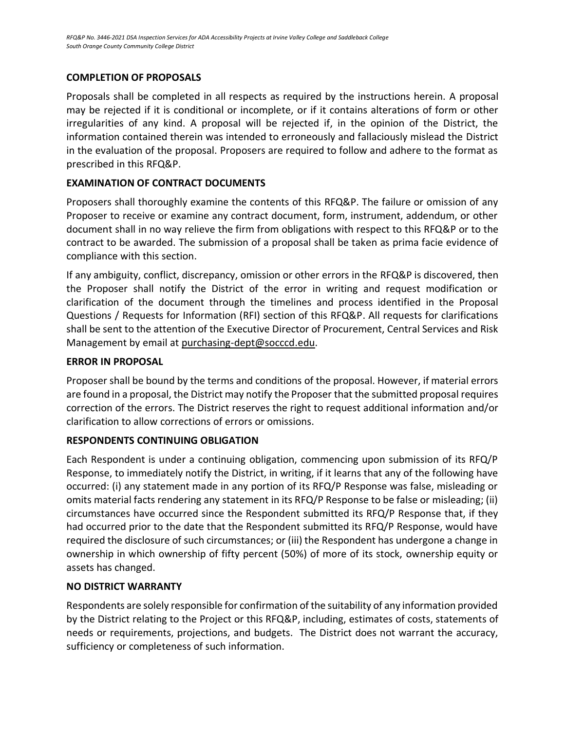### **COMPLETION OF PROPOSALS**

Proposals shall be completed in all respects as required by the instructions herein. A proposal may be rejected if it is conditional or incomplete, or if it contains alterations of form or other irregularities of any kind. A proposal will be rejected if, in the opinion of the District, the information contained therein was intended to erroneously and fallaciously mislead the District in the evaluation of the proposal. Proposers are required to follow and adhere to the format as prescribed in this RFQ&P.

### **EXAMINATION OF CONTRACT DOCUMENTS**

Proposers shall thoroughly examine the contents of this RFQ&P. The failure or omission of any Proposer to receive or examine any contract document, form, instrument, addendum, or other document shall in no way relieve the firm from obligations with respect to this RFQ&P or to the contract to be awarded. The submission of a proposal shall be taken as prima facie evidence of compliance with this section.

If any ambiguity, conflict, discrepancy, omission or other errors in the RFQ&P is discovered, then the Proposer shall notify the District of the error in writing and request modification or clarification of the document through the timelines and process identified in the Proposal Questions / Requests for Information (RFI) section of this RFQ&P. All requests for clarifications shall be sent to the attention of the Executive Director of Procurement, Central Services and Risk Management by email a[t purchasing-dept@socccd.edu.](mailto:purchasing-dept@socccd.edu)

### **ERROR IN PROPOSAL**

Proposer shall be bound by the terms and conditions of the proposal. However, if material errors are found in a proposal, the District may notify the Proposer that the submitted proposal requires correction of the errors. The District reserves the right to request additional information and/or clarification to allow corrections of errors or omissions.

### **RESPONDENTS CONTINUING OBLIGATION**

Each Respondent is under a continuing obligation, commencing upon submission of its RFQ/P Response, to immediately notify the District, in writing, if it learns that any of the following have occurred: (i) any statement made in any portion of its RFQ/P Response was false, misleading or omits material facts rendering any statement in its RFQ/P Response to be false or misleading; (ii) circumstances have occurred since the Respondent submitted its RFQ/P Response that, if they had occurred prior to the date that the Respondent submitted its RFQ/P Response, would have required the disclosure of such circumstances; or (iii) the Respondent has undergone a change in ownership in which ownership of fifty percent (50%) of more of its stock, ownership equity or assets has changed.

### **NO DISTRICT WARRANTY**

Respondents are solely responsible for confirmation of the suitability of any information provided by the District relating to the Project or this RFQ&P, including, estimates of costs, statements of needs or requirements, projections, and budgets. The District does not warrant the accuracy, sufficiency or completeness of such information.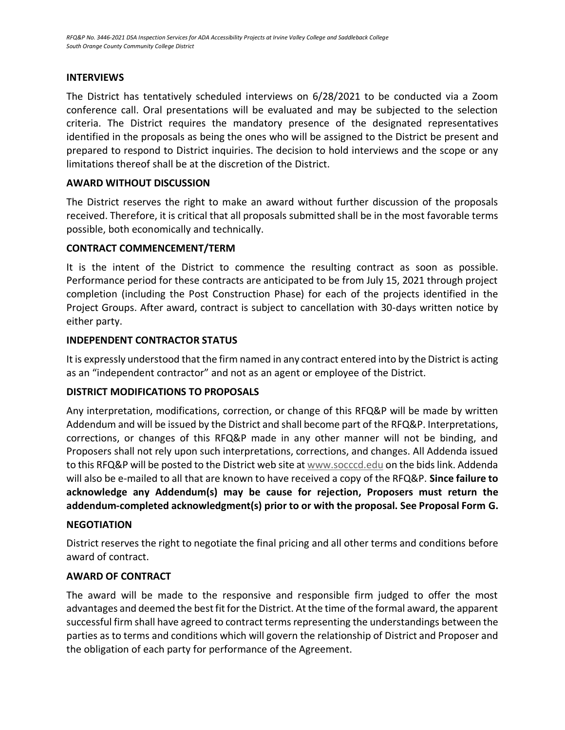### <span id="page-10-0"></span>**INTERVIEWS**

The District has tentatively scheduled interviews on 6/28/2021 to be conducted via a Zoom conference call. Oral presentations will be evaluated and may be subjected to the selection criteria. The District requires the mandatory presence of the designated representatives identified in the proposals as being the ones who will be assigned to the District be present and prepared to respond to District inquiries. The decision to hold interviews and the scope or any limitations thereof shall be at the discretion of the District.

### <span id="page-10-1"></span>**AWARD WITHOUT DISCUSSION**

The District reserves the right to make an award without further discussion of the proposals received. Therefore, it is critical that all proposals submitted shall be in the most favorable terms possible, both economically and technically.

### <span id="page-10-2"></span>**CONTRACT COMMENCEMENT/TERM**

It is the intent of the District to commence the resulting contract as soon as possible. Performance period for these contracts are anticipated to be from July 15, 2021 through project completion (including the Post Construction Phase) for each of the projects identified in the Project Groups. After award, contract is subject to cancellation with 30-days written notice by either party.

### **INDEPENDENT CONTRACTOR STATUS**

It is expressly understood that the firm named in any contract entered into by the District is acting as an "independent contractor" and not as an agent or employee of the District.

### <span id="page-10-3"></span>**DISTRICT MODIFICATIONS TO PROPOSALS**

Any interpretation, modifications, correction, or change of this RFQ&P will be made by written Addendum and will be issued by the District and shall become part of the RFQ&P. Interpretations, corrections, or changes of this RFQ&P made in any other manner will not be binding, and Proposers shall not rely upon such interpretations, corrections, and changes. All Addenda issued to this RFQ&P will be posted to the District web site at [www.socccd.edu](http://www.socccd.edu/) on the bids link. Addenda will also be e-mailed to all that are known to have received a copy of the RFQ&P. **Since failure to acknowledge any Addendum(s) may be cause for rejection, Proposers must return the addendum-completed acknowledgment(s) prior to or with the proposal. See Proposal Form G.**

### <span id="page-10-4"></span>**NEGOTIATION**

<span id="page-10-5"></span>District reserves the right to negotiate the final pricing and all other terms and conditions before award of contract.

### **AWARD OF CONTRACT**

The award will be made to the responsive and responsible firm judged to offer the most advantages and deemed the best fit for the District. At the time of the formal award, the apparent successful firm shall have agreed to contract terms representing the understandings between the parties as to terms and conditions which will govern the relationship of District and Proposer and the obligation of each party for performance of the Agreement.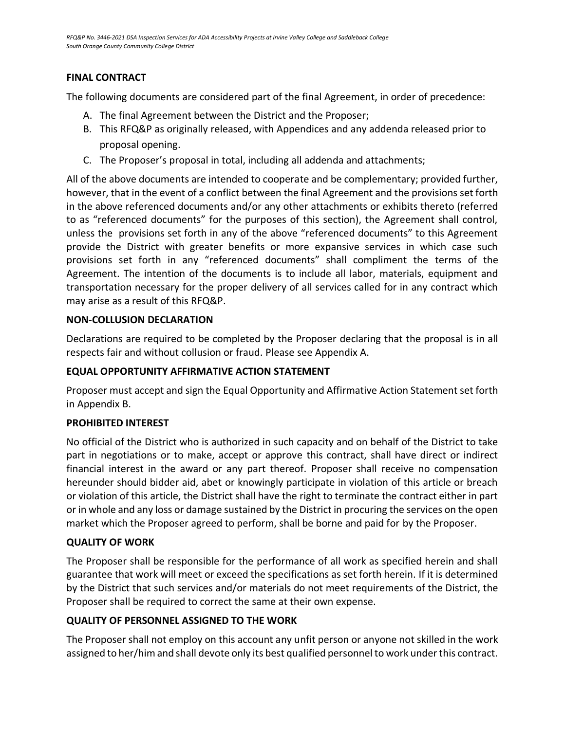### <span id="page-11-0"></span>**FINAL CONTRACT**

The following documents are considered part of the final Agreement, in order of precedence:

- A. The final Agreement between the District and the Proposer;
- B. This RFQ&P as originally released, with Appendices and any addenda released prior to proposal opening.
- C. The Proposer's proposal in total, including all addenda and attachments;

All of the above documents are intended to cooperate and be complementary; provided further, however, that in the event of a conflict between the final Agreement and the provisions set forth in the above referenced documents and/or any other attachments or exhibits thereto (referred to as "referenced documents" for the purposes of this section), the Agreement shall control, unless the provisions set forth in any of the above "referenced documents" to this Agreement provide the District with greater benefits or more expansive services in which case such provisions set forth in any "referenced documents" shall compliment the terms of the Agreement. The intention of the documents is to include all labor, materials, equipment and transportation necessary for the proper delivery of all services called for in any contract which may arise as a result of this RFQ&P.

### **NON-COLLUSION DECLARATION**

Declarations are required to be completed by the Proposer declaring that the proposal is in all respects fair and without collusion or fraud. Please see Appendix A.

### <span id="page-11-1"></span>**EQUAL OPPORTUNITY AFFIRMATIVE ACTION STATEMENT**

Proposer must accept and sign the Equal Opportunity and Affirmative Action Statement set forth in Appendix B.

### <span id="page-11-2"></span>**PROHIBITED INTEREST**

No official of the District who is authorized in such capacity and on behalf of the District to take part in negotiations or to make, accept or approve this contract, shall have direct or indirect financial interest in the award or any part thereof. Proposer shall receive no compensation hereunder should bidder aid, abet or knowingly participate in violation of this article or breach or violation of this article, the District shall have the right to terminate the contract either in part or in whole and any loss or damage sustained by the District in procuring the services on the open market which the Proposer agreed to perform, shall be borne and paid for by the Proposer.

### <span id="page-11-3"></span>**QUALITY OF WORK**

The Proposer shall be responsible for the performance of all work as specified herein and shall guarantee that work will meet or exceed the specifications as set forth herein. If it is determined by the District that such services and/or materials do not meet requirements of the District, the Proposer shall be required to correct the same at their own expense.

### <span id="page-11-4"></span>**QUALITY OF PERSONNEL ASSIGNED TO THE WORK**

<span id="page-11-5"></span>The Proposer shall not employ on this account any unfit person or anyone not skilled in the work assigned to her/him and shall devote only its best qualified personnel to work under this contract.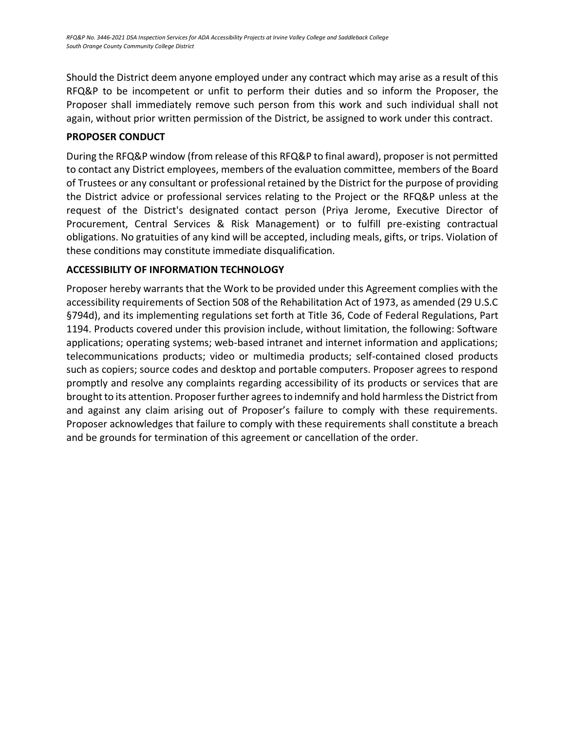Should the District deem anyone employed under any contract which may arise as a result of this RFQ&P to be incompetent or unfit to perform their duties and so inform the Proposer, the Proposer shall immediately remove such person from this work and such individual shall not again, without prior written permission of the District, be assigned to work under this contract.

### **PROPOSER CONDUCT**

<span id="page-12-0"></span>During the RFQ&P window (from release of this RFQ&P to final award), proposer is not permitted to contact any District employees, members of the evaluation committee, members of the Board of Trustees or any consultant or professional retained by the District for the purpose of providing the District advice or professional services relating to the Project or the RFQ&P unless at the request of the District's designated contact person (Priya Jerome, Executive Director of Procurement, Central Services & Risk Management) or to fulfill pre-existing contractual obligations. No gratuities of any kind will be accepted, including meals, gifts, or trips. Violation of these conditions may constitute immediate disqualification.

### **ACCESSIBILITY OF INFORMATION TECHNOLOGY**

Proposer hereby warrants that the Work to be provided under this Agreement complies with the accessibility requirements of Section 508 of the Rehabilitation Act of 1973, as amended (29 U.S.C §794d), and its implementing regulations set forth at Title 36, Code of Federal Regulations, Part 1194. Products covered under this provision include, without limitation, the following: Software applications; operating systems; web-based intranet and internet information and applications; telecommunications products; video or multimedia products; self-contained closed products such as copiers; source codes and desktop and portable computers. Proposer agrees to respond promptly and resolve any complaints regarding accessibility of its products or services that are brought to its attention. Proposer further agrees to indemnify and hold harmless the District from and against any claim arising out of Proposer's failure to comply with these requirements. Proposer acknowledges that failure to comply with these requirements shall constitute a breach and be grounds for termination of this agreement or cancellation of the order.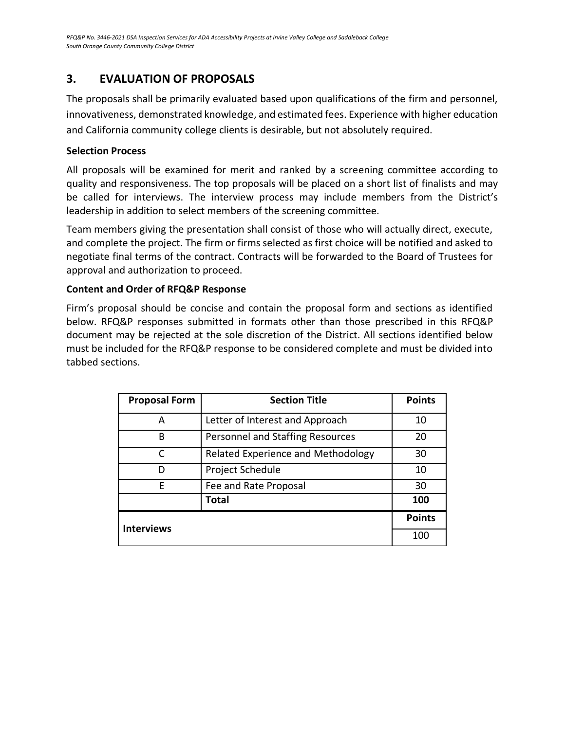### **3. EVALUATION OF PROPOSALS**

The proposals shall be primarily evaluated based upon qualifications of the firm and personnel, innovativeness, demonstrated knowledge, and estimated fees. Experience with higher education and California community college clients is desirable, but not absolutely required.

### **Selection Process**

All proposals will be examined for merit and ranked by a screening committee according to quality and responsiveness. The top proposals will be placed on a short list of finalists and may be called for interviews. The interview process may include members from the District's leadership in addition to select members of the screening committee.

Team members giving the presentation shall consist of those who will actually direct, execute, and complete the project. The firm or firms selected as first choice will be notified and asked to negotiate final terms of the contract. Contracts will be forwarded to the Board of Trustees for approval and authorization to proceed.

### **Content and Order of RFQ&P Response**

Firm's proposal should be concise and contain the proposal form and sections as identified below. RFQ&P responses submitted in formats other than those prescribed in this RFQ&P document may be rejected at the sole discretion of the District. All sections identified below must be included for the RFQ&P response to be considered complete and must be divided into tabbed sections.

| <b>Proposal Form</b> | <b>Section Title</b>               | <b>Points</b> |
|----------------------|------------------------------------|---------------|
| A                    | Letter of Interest and Approach    | 10            |
| B                    | Personnel and Staffing Resources   | 20            |
| C                    | Related Experience and Methodology | 30            |
| D                    | Project Schedule                   | 10            |
| F                    | Fee and Rate Proposal              | 30            |
|                      | <b>Total</b>                       | 100           |
| <b>Interviews</b>    | <b>Points</b>                      |               |
|                      |                                    | 100           |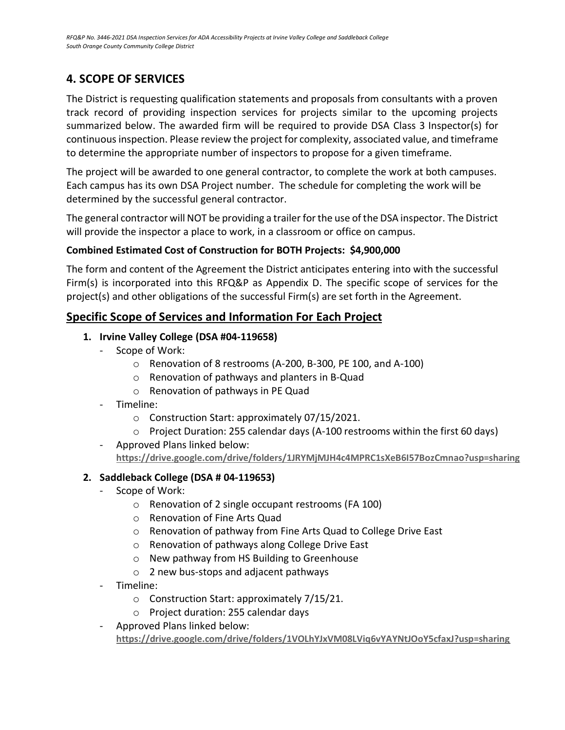### <span id="page-14-0"></span>**4. SCOPE OF SERVICES**

The District is requesting qualification statements and proposals from consultants with a proven track record of providing inspection services for projects similar to the upcoming projects summarized below. The awarded firm will be required to provide DSA Class 3 Inspector(s) for continuous inspection. Please review the project for complexity, associated value, and timeframe to determine the appropriate number of inspectors to propose for a given timeframe.

The project will be awarded to one general contractor, to complete the work at both campuses. Each campus has its own DSA Project number. The schedule for completing the work will be determined by the successful general contractor.

The general contractor will NOT be providing a trailer for the use of the DSA inspector. The District will provide the inspector a place to work, in a classroom or office on campus.

### **Combined Estimated Cost of Construction for BOTH Projects: \$4,900,000**

The form and content of the Agreement the District anticipates entering into with the successful Firm(s) is incorporated into this RFQ&P as Appendix D. The specific scope of services for the project(s) and other obligations of the successful Firm(s) are set forth in the Agreement.

### **Specific Scope of Services and Information For Each Project**

### **1. Irvine Valley College (DSA #04-119658)**

- Scope of Work:
	- o Renovation of 8 restrooms (A-200, B-300, PE 100, and A-100)
	- o Renovation of pathways and planters in B-Quad
	- o Renovation of pathways in PE Quad
- Timeline:
	- o Construction Start: approximately 07/15/2021.
	- o Project Duration: 255 calendar days (A-100 restrooms within the first 60 days)
- Approved Plans linked below: **<https://drive.google.com/drive/folders/1JRYMjMJH4c4MPRC1sXeB6I57BozCmnao?usp=sharing>**

### **2. Saddleback College (DSA # 04-119653)**

- Scope of Work:
	- o Renovation of 2 single occupant restrooms (FA 100)
	- o Renovation of Fine Arts Quad
	- o Renovation of pathway from Fine Arts Quad to College Drive East
	- o Renovation of pathways along College Drive East
	- o New pathway from HS Building to Greenhouse
	- o 2 new bus-stops and adjacent pathways
- Timeline:
	- o Construction Start: approximately 7/15/21.
	- o Project duration: 255 calendar days
- Approved Plans linked below: **<https://drive.google.com/drive/folders/1VOLhYJxVM08LViq6vYAYNtJOoY5cfaxJ?usp=sharing>**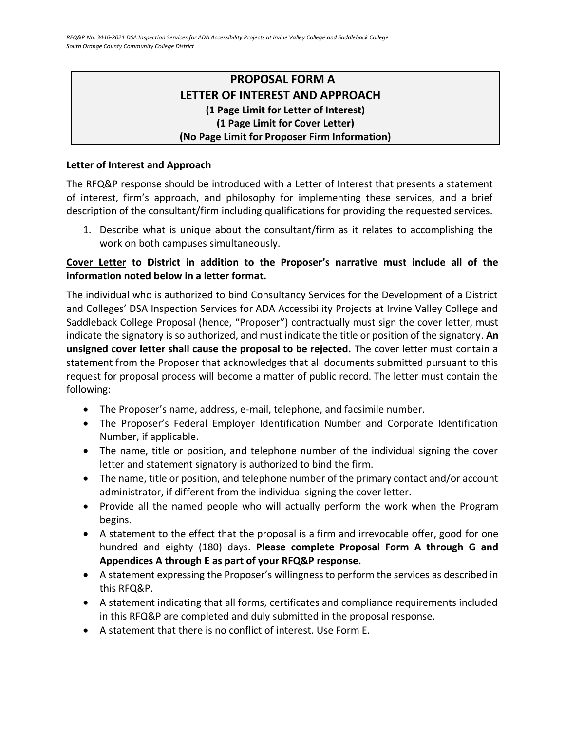### **PROPOSAL FORM A LETTER OF INTEREST AND APPROACH (1 Page Limit for Letter of Interest) (1 Page Limit for Cover Letter) (No Page Limit for Proposer Firm Information)**

### <span id="page-15-0"></span>**Letter of Interest and Approach**

The RFQ&P response should be introduced with a Letter of Interest that presents a statement of interest, firm's approach, and philosophy for implementing these services, and a brief description of the consultant/firm including qualifications for providing the requested services.

1. Describe what is unique about the consultant/firm as it relates to accomplishing the work on both campuses simultaneously.

### **Cover Letter to District in addition to the Proposer's narrative must include all of the information noted below in a letter format.**

The individual who is authorized to bind Consultancy Services for the Development of a District and Colleges' DSA Inspection Services for ADA Accessibility Projects at Irvine Valley College and Saddleback College Proposal (hence, "Proposer") contractually must sign the cover letter, must indicate the signatory is so authorized, and must indicate the title or position of the signatory. **An unsigned cover letter shall cause the proposal to be rejected.** The cover letter must contain a statement from the Proposer that acknowledges that all documents submitted pursuant to this request for proposal process will become a matter of public record. The letter must contain the following:

- The Proposer's name, address, e-mail, telephone, and facsimile number.
- The Proposer's Federal Employer Identification Number and Corporate Identification Number, if applicable.
- The name, title or position, and telephone number of the individual signing the cover letter and statement signatory is authorized to bind the firm.
- The name, title or position, and telephone number of the primary contact and/or account administrator, if different from the individual signing the cover letter.
- Provide all the named people who will actually perform the work when the Program begins.
- A statement to the effect that the proposal is a firm and irrevocable offer, good for one hundred and eighty (180) days. **Please complete Proposal Form A through G and Appendices A through E as part of your RFQ&P response.**
- A statement expressing the Proposer's willingness to perform the services as described in this RFQ&P.
- A statement indicating that all forms, certificates and compliance requirements included in this RFQ&P are completed and duly submitted in the proposal response.
- A statement that there is no conflict of interest. Use Form E.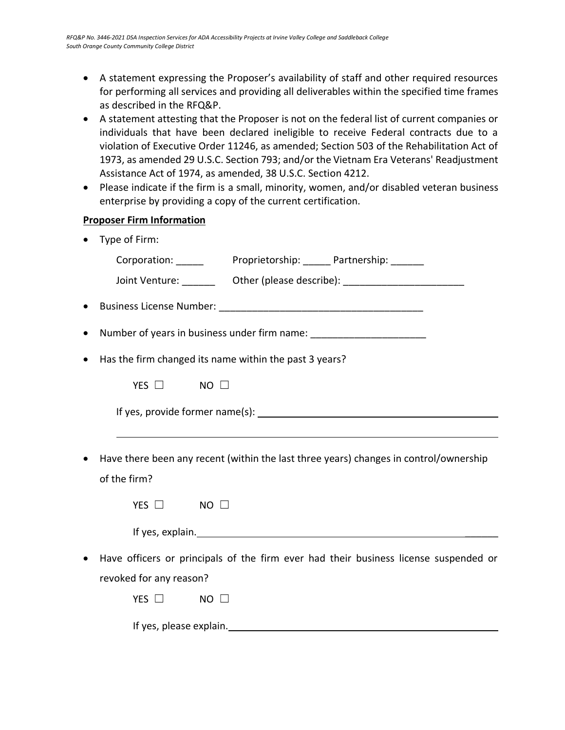- A statement expressing the Proposer's availability of staff and other required resources for performing all services and providing all deliverables within the specified time frames as described in the RFQ&P.
- A statement attesting that the Proposer is not on the federal list of current companies or individuals that have been declared ineligible to receive Federal contracts due to a violation of Executive Order 11246, as amended; Section 503 of the Rehabilitation Act of 1973, as amended 29 U.S.C. Section 793; and/or the Vietnam Era Veterans' Readjustment Assistance Act of 1974, as amended, 38 U.S.C. Section 4212.
- Please indicate if the firm is a small, minority, women, and/or disabled veteran business enterprise by providing a copy of the current certification.

### **Proposer Firm Information**

• Type of Firm:

| Corporation: _______ Proprietorship: ______ Partnership: ______                  |  |                                                                                       |  |
|----------------------------------------------------------------------------------|--|---------------------------------------------------------------------------------------|--|
|                                                                                  |  | Joint Venture: __________ Other (please describe): _____________________________      |  |
|                                                                                  |  |                                                                                       |  |
| Number of years in business under firm name: ___________________________________ |  |                                                                                       |  |
| Has the firm changed its name within the past 3 years?                           |  |                                                                                       |  |
| YES $\Box$ NO $\Box$                                                             |  |                                                                                       |  |
|                                                                                  |  |                                                                                       |  |
|                                                                                  |  |                                                                                       |  |
|                                                                                  |  | Have there been any recent (within the last three years) changes in control/ownership |  |
| of the firm?                                                                     |  |                                                                                       |  |
| YES $\Box$<br>$NO$ $\Box$                                                        |  |                                                                                       |  |
|                                                                                  |  |                                                                                       |  |
|                                                                                  |  | Have officers or principals of the firm ever had their business license suspended or  |  |
| revoked for any reason?                                                          |  |                                                                                       |  |
| YES $\Box$<br>NO.                                                                |  |                                                                                       |  |

If yes, please explain.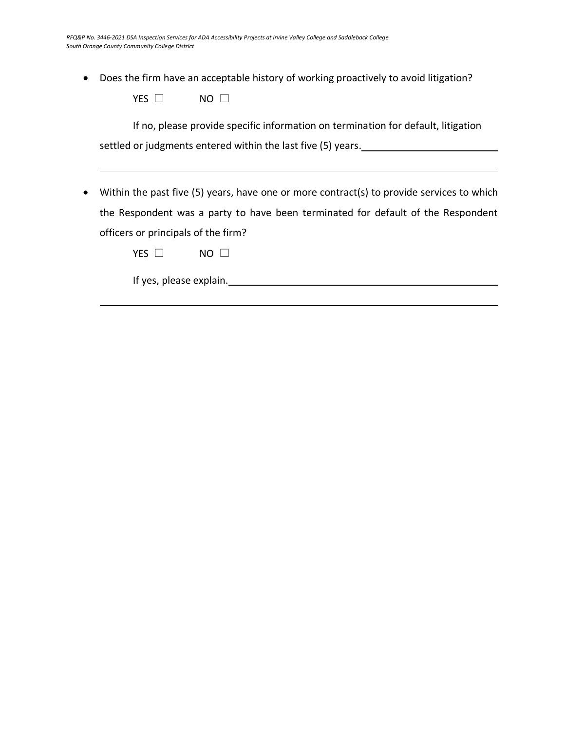• Does the firm have an acceptable history of working proactively to avoid litigation?

| NΟ |
|----|
|    |

If no, please provide specific information on termination for default, litigation settled or judgments entered within the last five (5) years.

• Within the past five (5) years, have one or more contract(s) to provide services to which the Respondent was a party to have been terminated for default of the Respondent officers or principals of the firm?

If yes, please explain.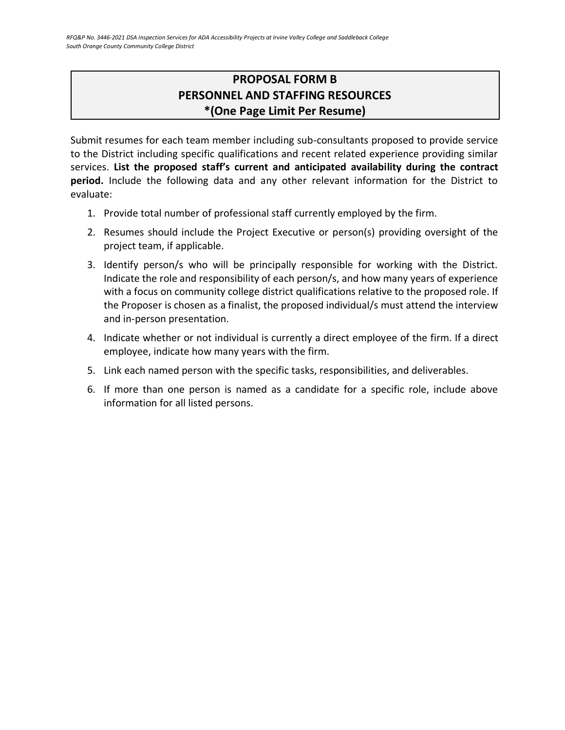### **PROPOSAL FORM B PERSONNEL AND STAFFING RESOURCES \*(One Page Limit Per Resume)**

<span id="page-18-0"></span>Submit resumes for each team member including sub-consultants proposed to provide service to the District including specific qualifications and recent related experience providing similar services. **List the proposed staff's current and anticipated availability during the contract period.** Include the following data and any other relevant information for the District to evaluate:

- 1. Provide total number of professional staff currently employed by the firm.
- 2. Resumes should include the Project Executive or person(s) providing oversight of the project team, if applicable.
- 3. Identify person/s who will be principally responsible for working with the District. Indicate the role and responsibility of each person/s, and how many years of experience with a focus on community college district qualifications relative to the proposed role. If the Proposer is chosen as a finalist, the proposed individual/s must attend the interview and in-person presentation.
- 4. Indicate whether or not individual is currently a direct employee of the firm. If a direct employee, indicate how many years with the firm.
- 5. Link each named person with the specific tasks, responsibilities, and deliverables.
- 6. If more than one person is named as a candidate for a specific role, include above information for all listed persons.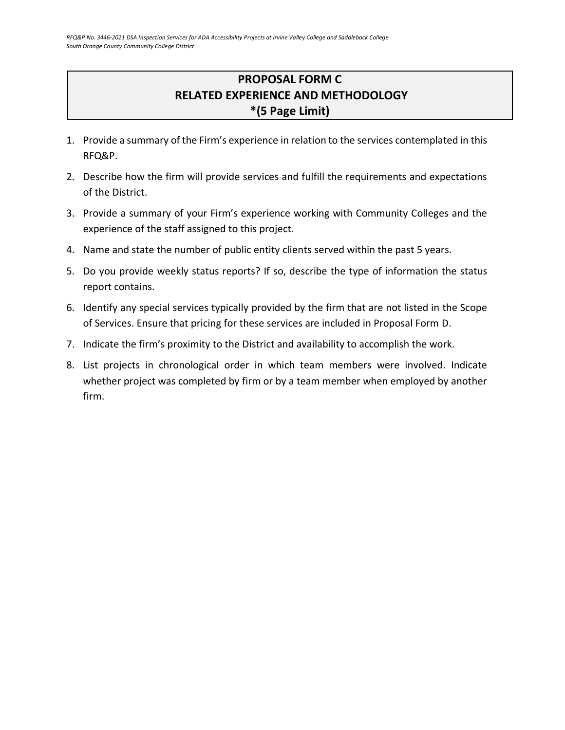## **PROPOSAL FORM C RELATED EXPERIENCE AND METHODOLOGY \*(5 Page Limit)**

- <span id="page-19-0"></span>1. Provide a summary of the Firm's experience in relation to the services contemplated in this RFQ&P.
- 2. Describe how the firm will provide services and fulfill the requirements and expectations of the District.
- 3. Provide a summary of your Firm's experience working with Community Colleges and the experience of the staff assigned to this project.
- 4. Name and state the number of public entity clients served within the past 5 years.
- 5. Do you provide weekly status reports? If so, describe the type of information the status report contains.
- 6. Identify any special services typically provided by the firm that are not listed in the Scope of Services. Ensure that pricing for these services are included in Proposal Form D.
- 7. Indicate the firm's proximity to the District and availability to accomplish the work.
- 8. List projects in chronological order in which team members were involved. Indicate whether project was completed by firm or by a team member when employed by another firm.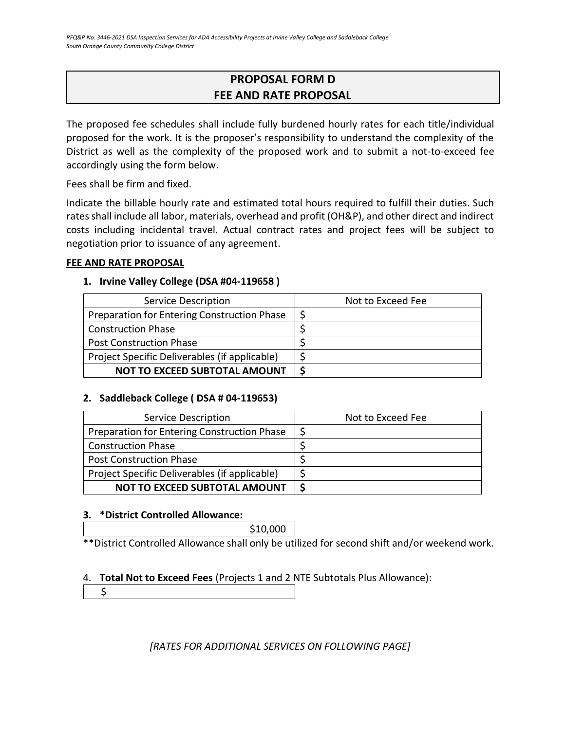### **PROPOSAL FORM D FEE AND RATE PROPOSAL**

<span id="page-20-0"></span>The proposed fee schedules shall include fully burdened hourly rates for each title/individual proposed for the work. It is the proposer's responsibility to understand the complexity of the District as well as the complexity of the proposed work and to submit a not-to-exceed fee accordingly using the form below.

Fees shall be firm and fixed.

Indicate the billable hourly rate and estimated total hours required to fulfill their duties. Such rates shall include all labor, materials, overhead and profit (OH&P), and other direct and indirect costs including incidental travel. Actual contract rates and project fees will be subject to negotiation prior to issuance of any agreement.

#### **FEE AND RATE PROPOSAL**

#### **1. Irvine Valley College (DSA #04-119658 )**

| Service Description                           | Not to Exceed Fee |
|-----------------------------------------------|-------------------|
| Preparation for Entering Construction Phase   |                   |
| <b>Construction Phase</b>                     |                   |
| <b>Post Construction Phase</b>                |                   |
| Project Specific Deliverables (if applicable) |                   |
| <b>NOT TO EXCEED SUBTOTAL AMOUNT</b>          |                   |

### **2. Saddleback College ( DSA # 04-119653)**

| Service Description                           | Not to Exceed Fee |
|-----------------------------------------------|-------------------|
| Preparation for Entering Construction Phase   |                   |
| <b>Construction Phase</b>                     |                   |
| <b>Post Construction Phase</b>                |                   |
| Project Specific Deliverables (if applicable) |                   |
| <b>NOT TO EXCEED SUBTOTAL AMOUNT</b>          |                   |

### **3. \*District Controlled Allowance:**

\$10,000

\*\*District Controlled Allowance shall only be utilized for second shift and/or weekend work.

### 4. **Total Not to Exceed Fees** (Projects 1 and 2 NTE Subtotals Plus Allowance):

\$

*[RATES FOR ADDITIONAL SERVICES ON FOLLOWING PAGE]*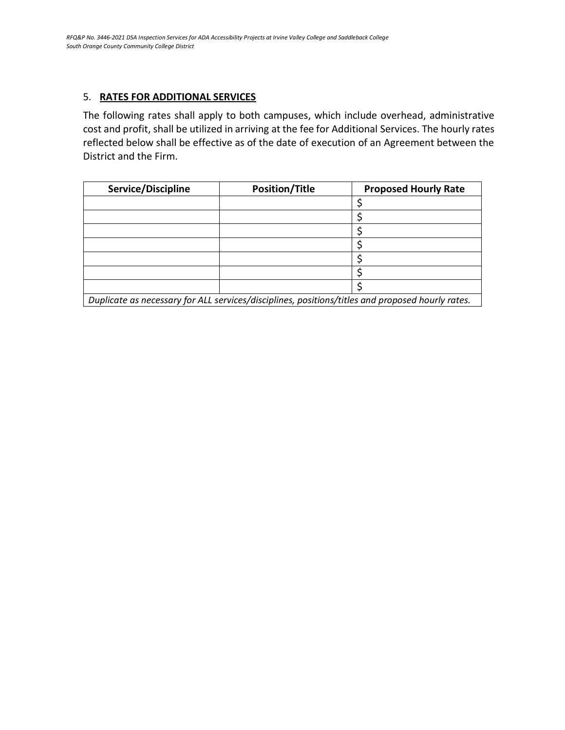### 5. **RATES FOR ADDITIONAL SERVICES**

The following rates shall apply to both campuses, which include overhead, administrative cost and profit, shall be utilized in arriving at the fee for Additional Services. The hourly rates reflected below shall be effective as of the date of execution of an Agreement between the District and the Firm.

| Service/Discipline | <b>Position/Title</b> | <b>Proposed Hourly Rate</b> |
|--------------------|-----------------------|-----------------------------|
|                    |                       |                             |
|                    |                       |                             |
|                    |                       |                             |
|                    |                       |                             |
|                    |                       |                             |
|                    |                       |                             |
|                    |                       |                             |

*Duplicate as necessary for ALL services/disciplines, positions/titles and proposed hourly rates.*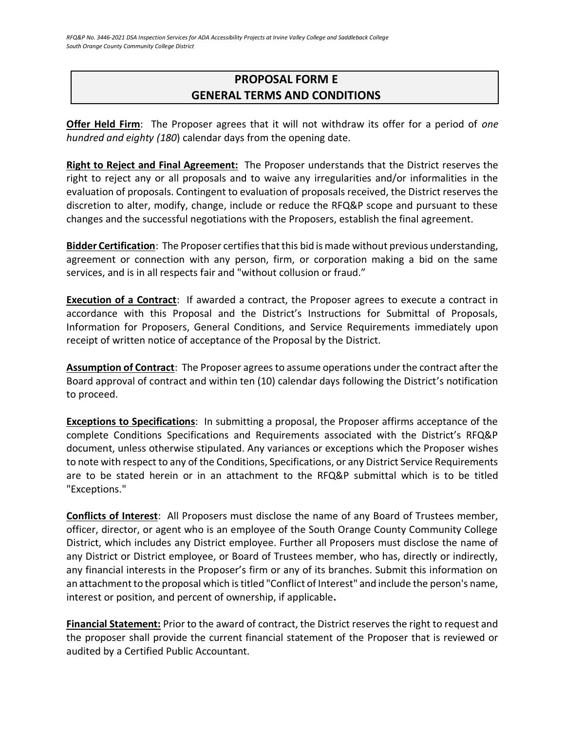### <span id="page-22-0"></span>**PROPOSAL FORM E GENERAL TERMS AND CONDITIONS**

**Offer Held Firm**: The Proposer agrees that it will not withdraw its offer for a period of *one hundred and eighty (180*) calendar days from the opening date.

**Right to Reject and Final Agreement:** The Proposer understands that the District reserves the right to reject any or all proposals and to waive any irregularities and/or informalities in the evaluation of proposals. Contingent to evaluation of proposals received, the District reserves the discretion to alter, modify, change, include or reduce the RFQ&P scope and pursuant to these changes and the successful negotiations with the Proposers, establish the final agreement.

**Bidder Certification**: The Proposer certifies that this bid is made without previous understanding, agreement or connection with any person, firm, or corporation making a bid on the same services, and is in all respects fair and "without collusion or fraud."

**Execution of a Contract**: If awarded a contract, the Proposer agrees to execute a contract in accordance with this Proposal and the District's Instructions for Submittal of Proposals, Information for Proposers, General Conditions, and Service Requirements immediately upon receipt of written notice of acceptance of the Proposal by the District.

**Assumption of Contract**: The Proposer agrees to assume operations under the contract after the Board approval of contract and within ten (10) calendar days following the District's notification to proceed.

**Exceptions to Specifications**: In submitting a proposal, the Proposer affirms acceptance of the complete Conditions Specifications and Requirements associated with the District's RFQ&P document, unless otherwise stipulated. Any variances or exceptions which the Proposer wishes to note with respect to any of the Conditions, Specifications, or any District Service Requirements are to be stated herein or in an attachment to the RFQ&P submittal which is to be titled "Exceptions."

**Conflicts of Interest**: All Proposers must disclose the name of any Board of Trustees member, officer, director, or agent who is an employee of the South Orange County Community College District, which includes any District employee. Further all Proposers must disclose the name of any District or District employee, or Board of Trustees member, who has, directly or indirectly, any financial interests in the Proposer's firm or any of its branches. Submit this information on an attachment to the proposal which is titled "Conflict of Interest" and include the person's name, interest or position, and percent of ownership, if applicable**.**

**Financial Statement:** Prior to the award of contract, the District reserves the right to request and the proposer shall provide the current financial statement of the Proposer that is reviewed or audited by a Certified Public Accountant.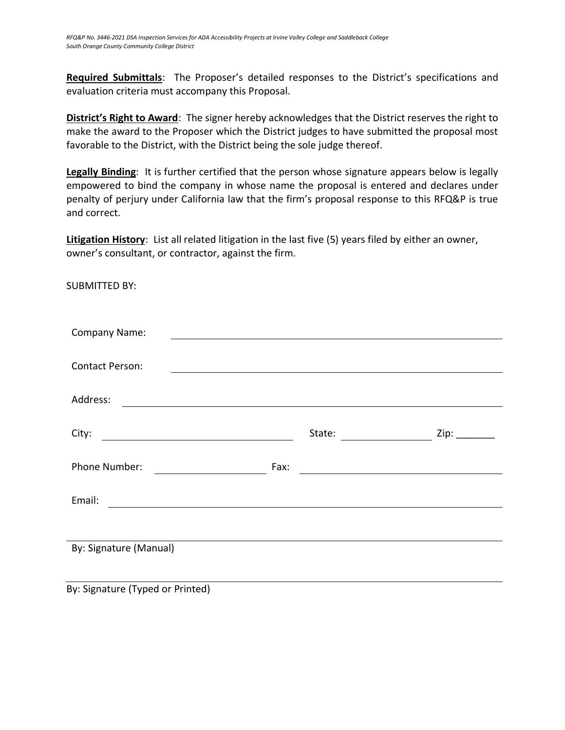**Required Submittals**: The Proposer's detailed responses to the District's specifications and evaluation criteria must accompany this Proposal.

**District's Right to Award**: The signer hereby acknowledges that the District reserves the right to make the award to the Proposer which the District judges to have submitted the proposal most favorable to the District, with the District being the sole judge thereof.

**Legally Binding**: It is further certified that the person whose signature appears below is legally empowered to bind the company in whose name the proposal is entered and declares under penalty of perjury under California law that the firm's proposal response to this RFQ&P is true and correct.

**Litigation History**: List all related litigation in the last five (5) years filed by either an owner, owner's consultant, or contractor, against the firm.

SUBMITTED BY:

| <b>Company Name:</b>                                                  |                                                                                                                              |      |  |
|-----------------------------------------------------------------------|------------------------------------------------------------------------------------------------------------------------------|------|--|
|                                                                       |                                                                                                                              |      |  |
| <b>Contact Person:</b>                                                |                                                                                                                              |      |  |
|                                                                       |                                                                                                                              |      |  |
| Address:<br><u> 1980 - Johann John Stone, Amerikaansk politiker (</u> |                                                                                                                              |      |  |
|                                                                       |                                                                                                                              |      |  |
| City:                                                                 | State:                                                                                                                       | Zip: |  |
|                                                                       |                                                                                                                              |      |  |
| Phone Number:                                                         | Fax:<br><u> 1980 - Andrea Stadt Britain, marwolaeth a bhliain 1980 - An t-Ainm an t-Ainm an t-Ainm an t-Ainm an t-Ainm a</u> |      |  |
|                                                                       |                                                                                                                              |      |  |
| Email:<br><u> 1989 - Johann Stein, mars an de Brazilian (b. 1989)</u> |                                                                                                                              |      |  |
|                                                                       |                                                                                                                              |      |  |
|                                                                       |                                                                                                                              |      |  |
| By: Signature (Manual)                                                |                                                                                                                              |      |  |
|                                                                       |                                                                                                                              |      |  |
|                                                                       |                                                                                                                              |      |  |

By: Signature (Typed or Printed)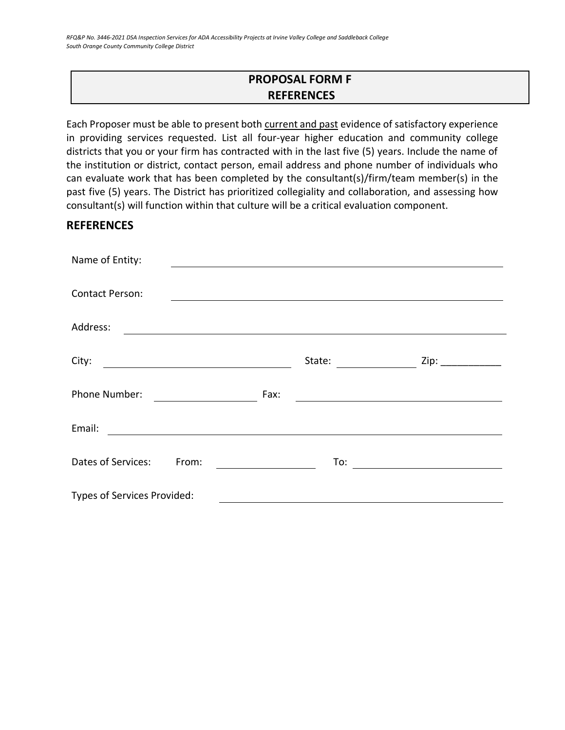### **PROPOSAL FORM F REFERENCES**

<span id="page-24-0"></span>Each Proposer must be able to present both current and past evidence of satisfactory experience in providing services requested. List all four-year higher education and community college districts that you or your firm has contracted with in the last five (5) years. Include the name of the institution or district, contact person, email address and phone number of individuals who can evaluate work that has been completed by the consultant(s)/firm/team member(s) in the past five (5) years. The District has prioritized collegiality and collaboration, and assessing how consultant(s) will function within that culture will be a critical evaluation component.

### **REFERENCES**

| Name of Entity:                                                                                                                  |        |                      |
|----------------------------------------------------------------------------------------------------------------------------------|--------|----------------------|
|                                                                                                                                  |        |                      |
| <b>Contact Person:</b>                                                                                                           |        |                      |
| Address:<br><u> 1989 - Andrea State Barbara, amerikan personal di sebagai personal di sebagai personal di sebagai personal d</u> |        |                      |
| City:                                                                                                                            | State: | Zip: $\qquad \qquad$ |
| <u> 1989 - Johann Barbara, martxa amerikan per</u>                                                                               |        |                      |
| Phone Number:                                                                                                                    | Fax:   |                      |
| Email:                                                                                                                           |        |                      |
| Dates of Services:<br>From:                                                                                                      | To:    |                      |
| Types of Services Provided:                                                                                                      |        |                      |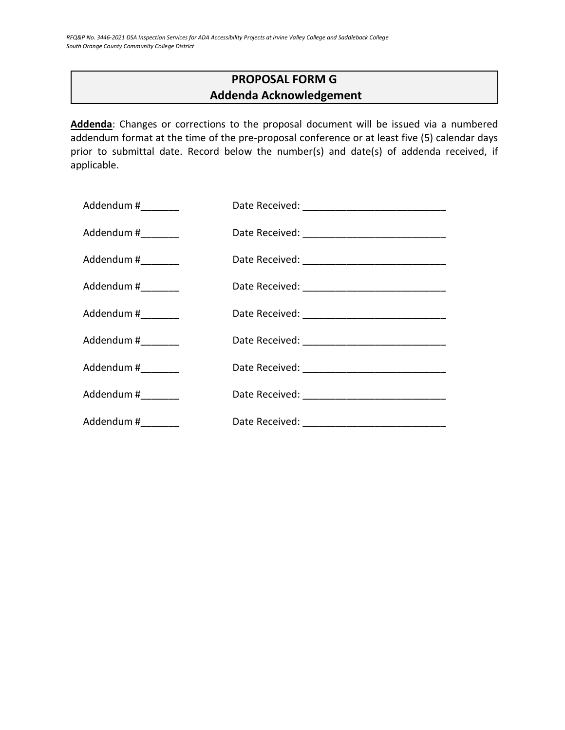### **PROPOSAL FORM G Addenda Acknowledgement**

<span id="page-25-0"></span>**Addenda**: Changes or corrections to the proposal document will be issued via a numbered addendum format at the time of the pre-proposal conference or at least five (5) calendar days prior to submittal date. Record below the number(s) and date(s) of addenda received, if applicable.

| Addendum #_________ |  |
|---------------------|--|
| Addendum #_________ |  |
| Addendum #_________ |  |
| Addendum #_________ |  |
| Addendum #________  |  |
| Addendum #________  |  |
| Addendum #________  |  |
| Addendum #________  |  |
| Addendum #_________ |  |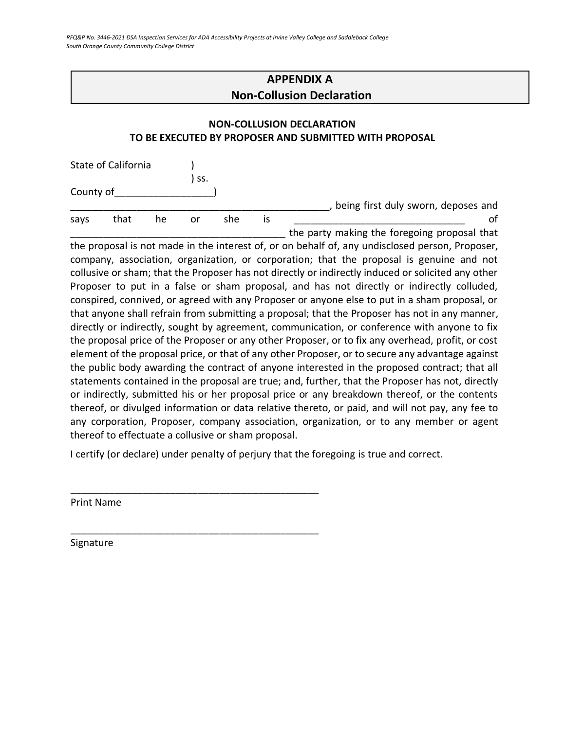<span id="page-26-0"></span>*RFQ&P No. 3446-2021 DSA Inspection Services for ADA Accessibility Projects at Irvine Valley College and Saddleback College South Orange County Community College District*

### **APPENDIX A Non-Collusion Declaration**

### **NON-COLLUSION DECLARATION TO BE EXECUTED BY PROPOSER AND SUBMITTED WITH PROPOSAL**

|           | State of California |    |     |     |    |                                              |
|-----------|---------------------|----|-----|-----|----|----------------------------------------------|
|           |                     |    | SS. |     |    |                                              |
| County of |                     |    |     |     |    |                                              |
|           |                     |    |     |     |    | being first duly sworn, deposes and          |
| savs      | that                | he | or  | she | 1S |                                              |
|           |                     |    |     |     |    | the party making the foregoing proposal that |

the proposal is not made in the interest of, or on behalf of, any undisclosed person, Proposer, company, association, organization, or corporation; that the proposal is genuine and not collusive or sham; that the Proposer has not directly or indirectly induced or solicited any other Proposer to put in a false or sham proposal, and has not directly or indirectly colluded, conspired, connived, or agreed with any Proposer or anyone else to put in a sham proposal, or that anyone shall refrain from submitting a proposal; that the Proposer has not in any manner, directly or indirectly, sought by agreement, communication, or conference with anyone to fix the proposal price of the Proposer or any other Proposer, or to fix any overhead, profit, or cost element of the proposal price, or that of any other Proposer, or to secure any advantage against the public body awarding the contract of anyone interested in the proposed contract; that all statements contained in the proposal are true; and, further, that the Proposer has not, directly or indirectly, submitted his or her proposal price or any breakdown thereof, or the contents thereof, or divulged information or data relative thereto, or paid, and will not pay, any fee to any corporation, Proposer, company association, organization, or to any member or agent thereof to effectuate a collusive or sham proposal.

I certify (or declare) under penalty of perjury that the foregoing is true and correct.

\_\_\_\_\_\_\_\_\_\_\_\_\_\_\_\_\_\_\_\_\_\_\_\_\_\_\_\_\_\_\_\_\_\_\_\_\_\_\_\_\_\_\_\_\_

\_\_\_\_\_\_\_\_\_\_\_\_\_\_\_\_\_\_\_\_\_\_\_\_\_\_\_\_\_\_\_\_\_\_\_\_\_\_\_\_\_\_\_\_\_

Print Name

Signature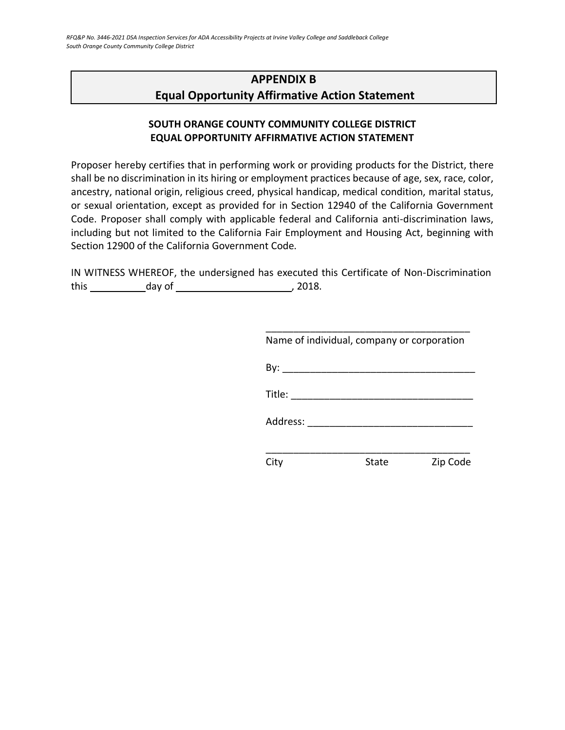### <span id="page-27-0"></span>**APPENDIX B Equal Opportunity Affirmative Action Statement**

### **SOUTH ORANGE COUNTY COMMUNITY COLLEGE DISTRICT EQUAL OPPORTUNITY AFFIRMATIVE ACTION STATEMENT**

Proposer hereby certifies that in performing work or providing products for the District, there shall be no discrimination in its hiring or employment practices because of age, sex, race, color, ancestry, national origin, religious creed, physical handicap, medical condition, marital status, or sexual orientation, except as provided for in Section 12940 of the California Government Code. Proposer shall comply with applicable federal and California anti-discrimination laws, including but not limited to the California Fair Employment and Housing Act, beginning with Section 12900 of the California Government Code.

IN WITNESS WHEREOF, the undersigned has executed this Certificate of Non-Discrimination this day of , 2018.

| Name of individual, company or corporation                                                                                                                                                                                                                                                                                                                                                                   |       |          |
|--------------------------------------------------------------------------------------------------------------------------------------------------------------------------------------------------------------------------------------------------------------------------------------------------------------------------------------------------------------------------------------------------------------|-------|----------|
|                                                                                                                                                                                                                                                                                                                                                                                                              |       |          |
| Title: $\frac{1}{\sqrt{1-\frac{1}{2}}\sqrt{1-\frac{1}{2}}\sqrt{1-\frac{1}{2}}\sqrt{1-\frac{1}{2}}\sqrt{1-\frac{1}{2}}\sqrt{1-\frac{1}{2}}\sqrt{1-\frac{1}{2}}\sqrt{1-\frac{1}{2}}\sqrt{1-\frac{1}{2}}\sqrt{1-\frac{1}{2}}\sqrt{1-\frac{1}{2}}\sqrt{1-\frac{1}{2}}\sqrt{1-\frac{1}{2}}\sqrt{1-\frac{1}{2}}\sqrt{1-\frac{1}{2}}\sqrt{1-\frac{1}{2}}\sqrt{1-\frac{1}{2}}\sqrt{1-\frac{1}{2}}\sqrt{1-\frac{1}{2$ |       |          |
| Address:                                                                                                                                                                                                                                                                                                                                                                                                     |       |          |
|                                                                                                                                                                                                                                                                                                                                                                                                              |       |          |
|                                                                                                                                                                                                                                                                                                                                                                                                              | State | Zip Code |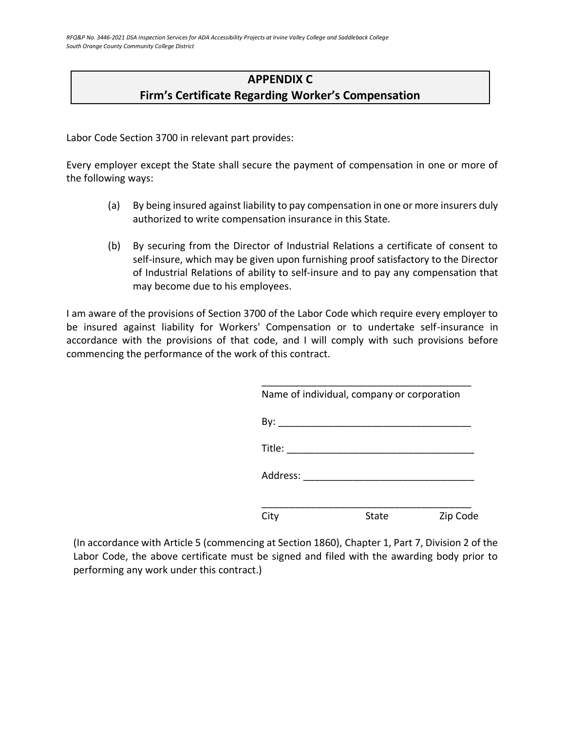### **APPENDIX C Firm's Certificate Regarding Worker's Compensation**

<span id="page-28-0"></span>Labor Code Section 3700 in relevant part provides:

Every employer except the State shall secure the payment of compensation in one or more of the following ways:

- (a) By being insured against liability to pay compensation in one or more insurers duly authorized to write compensation insurance in this State.
- (b) By securing from the Director of Industrial Relations a certificate of consent to self-insure, which may be given upon furnishing proof satisfactory to the Director of Industrial Relations of ability to self-insure and to pay any compensation that may become due to his employees.

I am aware of the provisions of Section 3700 of the Labor Code which require every employer to be insured against liability for Workers' Compensation or to undertake self-insurance in accordance with the provisions of that code, and I will comply with such provisions before commencing the performance of the work of this contract.

|                        | Name of individual, company or corporation |          |
|------------------------|--------------------------------------------|----------|
|                        |                                            |          |
| Title: $\qquad \qquad$ |                                            |          |
|                        | Address: _________________________         |          |
| City                   | State                                      | Zip Code |

(In accordance with Article 5 (commencing at Section 1860), Chapter 1, Part 7, Division 2 of the Labor Code, the above certificate must be signed and filed with the awarding body prior to performing any work under this contract.)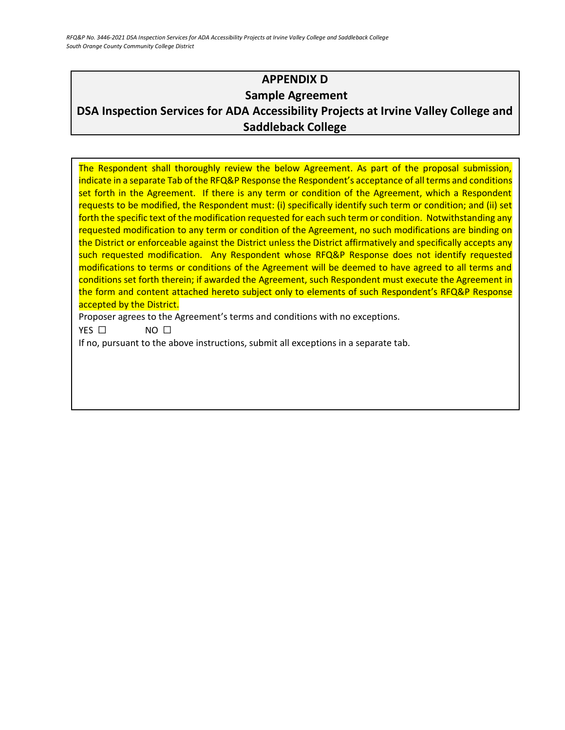*RFQ&P No. 3446-2021 DSA Inspection Services for ADA Accessibility Projects at Irvine Valley College and Saddleback College South Orange County Community College District*

### <span id="page-29-0"></span>**APPENDIX D Sample Agreement DSA Inspection Services for ADA Accessibility Projects at Irvine Valley College and Saddleback College**

The Respondent shall thoroughly review the below Agreement. As part of the proposal submission, indicate in a separate Tab of the RFQ&P Response the Respondent's acceptance of all terms and conditions set forth in the Agreement. If there is any term or condition of the Agreement, which a Respondent requests to be modified, the Respondent must: (i) specifically identify such term or condition; and (ii) set forth the specific text of the modification requested for each such term or condition. Notwithstanding any requested modification to any term or condition of the Agreement, no such modifications are binding on the District or enforceable against the District unless the District affirmatively and specifically accepts any such requested modification. Any Respondent whose RFQ&P Response does not identify requested modifications to terms or conditions of the Agreement will be deemed to have agreed to all terms and conditions set forth therein; if awarded the Agreement, such Respondent must execute the Agreement in the form and content attached hereto subject only to elements of such Respondent's RFQ&P Response accepted by the District.

Proposer agrees to the Agreement's terms and conditions with no exceptions.

YES □ NO □

If no, pursuant to the above instructions, submit all exceptions in a separate tab.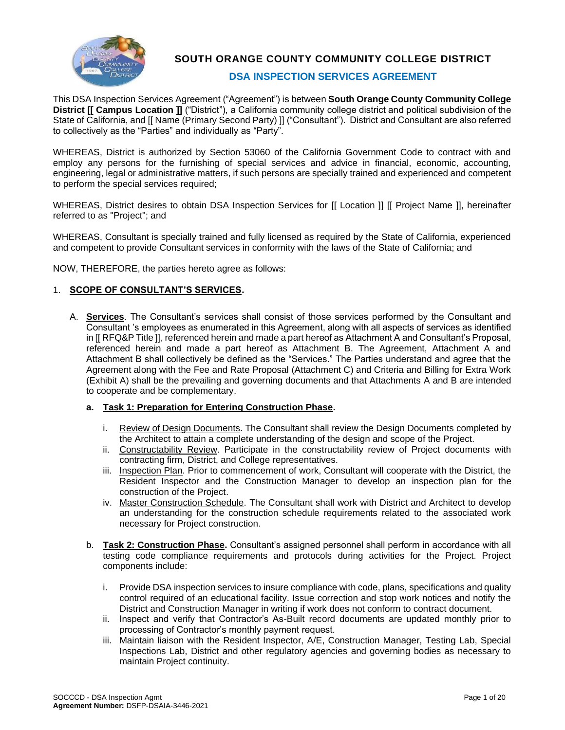

**SOUTH ORANGE COUNTY COMMUNITY COLLEGE DISTRICT**

#### **DSA INSPECTION SERVICES AGREEMENT**

This DSA Inspection Services Agreement ("Agreement") is between **South Orange County Community College District [[ Campus Location ]]** ("District"), a California community college district and political subdivision of the State of California, and [[ Name (Primary Second Party) ]] ("Consultant"). District and Consultant are also referred to collectively as the "Parties" and individually as "Party".

WHEREAS, District is authorized by Section 53060 of the California Government Code to contract with and employ any persons for the furnishing of special services and advice in financial, economic, accounting, engineering, legal or administrative matters, if such persons are specially trained and experienced and competent to perform the special services required;

WHEREAS, District desires to obtain DSA Inspection Services for [[ Location ]] [[ Project Name ]], hereinafter referred to as "Project"; and

WHEREAS, Consultant is specially trained and fully licensed as required by the State of California, experienced and competent to provide Consultant services in conformity with the laws of the State of California; and

NOW, THEREFORE, the parties hereto agree as follows:

#### 1. **SCOPE OF CONSULTANT'S SERVICES.**

A. **Services**. The Consultant's services shall consist of those services performed by the Consultant and Consultant 's employees as enumerated in this Agreement, along with all aspects of services as identified in [[ RFQ&P Title ]], referenced herein and made a part hereof as Attachment A and Consultant's Proposal, referenced herein and made a part hereof as Attachment B. The Agreement, Attachment A and Attachment B shall collectively be defined as the "Services." The Parties understand and agree that the Agreement along with the Fee and Rate Proposal (Attachment C) and Criteria and Billing for Extra Work (Exhibit A) shall be the prevailing and governing documents and that Attachments A and B are intended to cooperate and be complementary.

#### **a. Task 1: Preparation for Entering Construction Phase.**

- i. Review of Design Documents. The Consultant shall review the Design Documents completed by the Architect to attain a complete understanding of the design and scope of the Project.
- ii. Constructability Review. Participate in the constructability review of Project documents with contracting firm, District, and College representatives.
- iii. Inspection Plan. Prior to commencement of work, Consultant will cooperate with the District, the Resident Inspector and the Construction Manager to develop an inspection plan for the construction of the Project.
- iv. Master Construction Schedule. The Consultant shall work with District and Architect to develop an understanding for the construction schedule requirements related to the associated work necessary for Project construction.
- b. **Task 2: Construction Phase.** Consultant's assigned personnel shall perform in accordance with all testing code compliance requirements and protocols during activities for the Project. Project components include:
	- i. Provide DSA inspection services to insure compliance with code, plans, specifications and quality control required of an educational facility. Issue correction and stop work notices and notify the District and Construction Manager in writing if work does not conform to contract document.
	- ii. Inspect and verify that Contractor's As-Built record documents are updated monthly prior to processing of Contractor's monthly payment request.
	- iii. Maintain liaison with the Resident Inspector, A/E, Construction Manager, Testing Lab, Special Inspections Lab, District and other regulatory agencies and governing bodies as necessary to maintain Project continuity.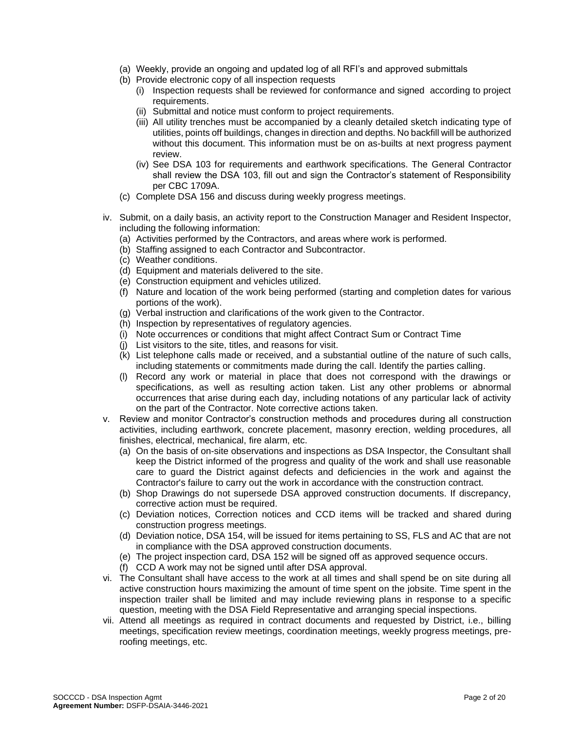- (a) Weekly, provide an ongoing and updated log of all RFI's and approved submittals
- (b) Provide electronic copy of all inspection requests
	- (i) Inspection requests shall be reviewed for conformance and signed according to project requirements.
	- (ii) Submittal and notice must conform to project requirements.
	- (iii) All utility trenches must be accompanied by a cleanly detailed sketch indicating type of utilities, points off buildings, changes in direction and depths. No backfill will be authorized without this document. This information must be on as-builts at next progress payment review.
	- (iv) See DSA 103 for requirements and earthwork specifications. The General Contractor shall review the DSA 103, fill out and sign the Contractor's statement of Responsibility per CBC 1709A.
- (c) Complete DSA 156 and discuss during weekly progress meetings.
- iv. Submit, on a daily basis, an activity report to the Construction Manager and Resident Inspector, including the following information:
	- (a) Activities performed by the Contractors, and areas where work is performed.
	- (b) Staffing assigned to each Contractor and Subcontractor.
	- (c) Weather conditions.
	- (d) Equipment and materials delivered to the site.
	- (e) Construction equipment and vehicles utilized.
	- (f) Nature and location of the work being performed (starting and completion dates for various portions of the work).
	- (g) Verbal instruction and clarifications of the work given to the Contractor.
	- (h) Inspection by representatives of regulatory agencies.
	- (i) Note occurrences or conditions that might affect Contract Sum or Contract Time
	- (j) List visitors to the site, titles, and reasons for visit.
	- (k) List telephone calls made or received, and a substantial outline of the nature of such calls, including statements or commitments made during the call. Identify the parties calling.
	- (l) Record any work or material in place that does not correspond with the drawings or specifications, as well as resulting action taken. List any other problems or abnormal occurrences that arise during each day, including notations of any particular lack of activity on the part of the Contractor. Note corrective actions taken.
- v. Review and monitor Contractor's construction methods and procedures during all construction activities, including earthwork, concrete placement, masonry erection, welding procedures, all finishes, electrical, mechanical, fire alarm, etc.
	- (a) On the basis of on-site observations and inspections as DSA Inspector, the Consultant shall keep the District informed of the progress and quality of the work and shall use reasonable care to guard the District against defects and deficiencies in the work and against the Contractor's failure to carry out the work in accordance with the construction contract.
	- (b) Shop Drawings do not supersede DSA approved construction documents. If discrepancy, corrective action must be required.
	- (c) Deviation notices, Correction notices and CCD items will be tracked and shared during construction progress meetings.
	- (d) Deviation notice, DSA 154, will be issued for items pertaining to SS, FLS and AC that are not in compliance with the DSA approved construction documents.
	- (e) The project inspection card, DSA 152 will be signed off as approved sequence occurs.
	- (f) CCD A work may not be signed until after DSA approval.
- vi. The Consultant shall have access to the work at all times and shall spend be on site during all active construction hours maximizing the amount of time spent on the jobsite. Time spent in the inspection trailer shall be limited and may include reviewing plans in response to a specific question, meeting with the DSA Field Representative and arranging special inspections.
- vii. Attend all meetings as required in contract documents and requested by District, i.e., billing meetings, specification review meetings, coordination meetings, weekly progress meetings, preroofing meetings, etc.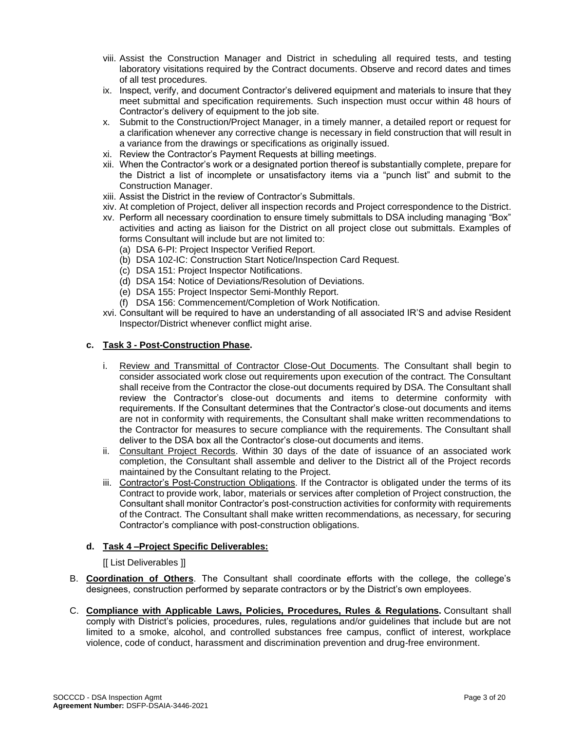- viii. Assist the Construction Manager and District in scheduling all required tests, and testing laboratory visitations required by the Contract documents. Observe and record dates and times of all test procedures.
- ix. Inspect, verify, and document Contractor's delivered equipment and materials to insure that they meet submittal and specification requirements. Such inspection must occur within 48 hours of Contractor's delivery of equipment to the job site.
- x. Submit to the Construction/Project Manager, in a timely manner, a detailed report or request for a clarification whenever any corrective change is necessary in field construction that will result in a variance from the drawings or specifications as originally issued.
- xi. Review the Contractor's Payment Requests at billing meetings.
- xii. When the Contractor's work or a designated portion thereof is substantially complete, prepare for the District a list of incomplete or unsatisfactory items via a "punch list" and submit to the Construction Manager.
- xiii. Assist the District in the review of Contractor's Submittals.
- xiv. At completion of Project, deliver all inspection records and Project correspondence to the District.
- xv. Perform all necessary coordination to ensure timely submittals to DSA including managing "Box" activities and acting as liaison for the District on all project close out submittals. Examples of forms Consultant will include but are not limited to:
	- (a) DSA 6-PI: Project Inspector Verified Report.
	- (b) DSA 102-IC: Construction Start Notice/Inspection Card Request.
	- (c) DSA 151: Project Inspector Notifications.
	- (d) DSA 154: Notice of Deviations/Resolution of Deviations.
	- (e) DSA 155: Project Inspector Semi-Monthly Report.
	- (f) DSA 156: Commencement/Completion of Work Notification.
- xvi. Consultant will be required to have an understanding of all associated IR'S and advise Resident Inspector/District whenever conflict might arise.

#### **c. Task 3 - Post-Construction Phase.**

- i. Review and Transmittal of Contractor Close-Out Documents. The Consultant shall begin to consider associated work close out requirements upon execution of the contract. The Consultant shall receive from the Contractor the close-out documents required by DSA. The Consultant shall review the Contractor's close-out documents and items to determine conformity with requirements. If the Consultant determines that the Contractor's close-out documents and items are not in conformity with requirements, the Consultant shall make written recommendations to the Contractor for measures to secure compliance with the requirements. The Consultant shall deliver to the DSA box all the Contractor's close-out documents and items.
- ii. Consultant Project Records. Within 30 days of the date of issuance of an associated work completion, the Consultant shall assemble and deliver to the District all of the Project records maintained by the Consultant relating to the Project.
- iii. Contractor's Post-Construction Obligations. If the Contractor is obligated under the terms of its Contract to provide work, labor, materials or services after completion of Project construction, the Consultant shall monitor Contractor's post-construction activities for conformity with requirements of the Contract. The Consultant shall make written recommendations, as necessary, for securing Contractor's compliance with post-construction obligations.

#### **d. Task 4 –Project Specific Deliverables:**

#### [[ List Deliverables ]]

- B. **Coordination of Others**. The Consultant shall coordinate efforts with the college, the college's designees, construction performed by separate contractors or by the District's own employees.
- C. **Compliance with Applicable Laws, Policies, Procedures, Rules & Regulations.** Consultant shall comply with District's policies, procedures, rules, regulations and/or guidelines that include but are not limited to a smoke, alcohol, and controlled substances free campus, conflict of interest, workplace violence, code of conduct, harassment and discrimination prevention and drug-free environment.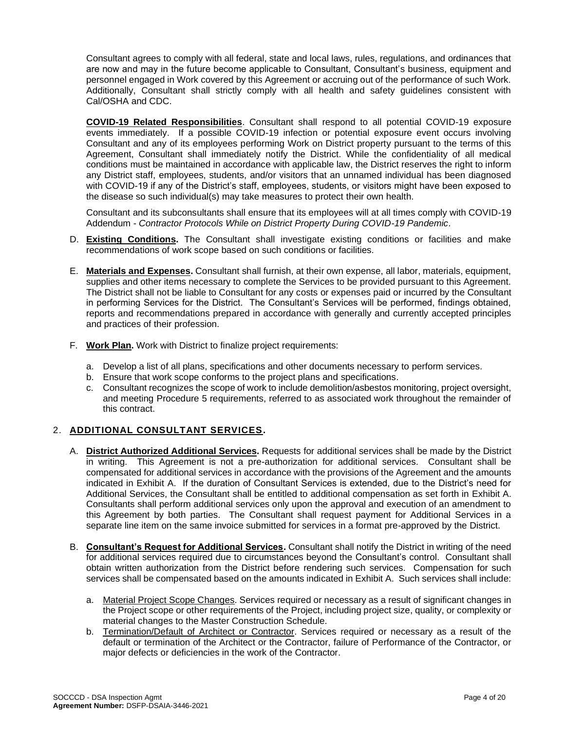Consultant agrees to comply with all federal, state and local laws, rules, regulations, and ordinances that are now and may in the future become applicable to Consultant, Consultant's business, equipment and personnel engaged in Work covered by this Agreement or accruing out of the performance of such Work. Additionally, Consultant shall strictly comply with all health and safety guidelines consistent with Cal/OSHA and CDC.

**COVID-19 Related Responsibilities**. Consultant shall respond to all potential COVID-19 exposure events immediately. If a possible COVID-19 infection or potential exposure event occurs involving Consultant and any of its employees performing Work on District property pursuant to the terms of this Agreement, Consultant shall immediately notify the District. While the confidentiality of all medical conditions must be maintained in accordance with applicable law, the District reserves the right to inform any District staff, employees, students, and/or visitors that an unnamed individual has been diagnosed with COVID-19 if any of the District's staff, employees, students, or visitors might have been exposed to the disease so such individual(s) may take measures to protect their own health.

Consultant and its subconsultants shall ensure that its employees will at all times comply with COVID-19 Addendum - *Contractor Protocols While on District Property During COVID-19 Pandemic*.

- D. **Existing Conditions.** The Consultant shall investigate existing conditions or facilities and make recommendations of work scope based on such conditions or facilities.
- E. **Materials and Expenses.** Consultant shall furnish, at their own expense, all labor, materials, equipment, supplies and other items necessary to complete the Services to be provided pursuant to this Agreement. The District shall not be liable to Consultant for any costs or expenses paid or incurred by the Consultant in performing Services for the District. The Consultant's Services will be performed, findings obtained, reports and recommendations prepared in accordance with generally and currently accepted principles and practices of their profession.
- F. **Work Plan.** Work with District to finalize project requirements:
	- a. Develop a list of all plans, specifications and other documents necessary to perform services.
	- b. Ensure that work scope conforms to the project plans and specifications.
	- c. Consultant recognizes the scope of work to include demolition/asbestos monitoring, project oversight, and meeting Procedure 5 requirements, referred to as associated work throughout the remainder of this contract.

### 2. **ADDITIONAL CONSULTANT SERVICES.**

- A. **District Authorized Additional Services.** Requests for additional services shall be made by the District in writing. This Agreement is not a pre-authorization for additional services. Consultant shall be compensated for additional services in accordance with the provisions of the Agreement and the amounts indicated in Exhibit A. If the duration of Consultant Services is extended, due to the District's need for Additional Services, the Consultant shall be entitled to additional compensation as set forth in Exhibit A. Consultants shall perform additional services only upon the approval and execution of an amendment to this Agreement by both parties. The Consultant shall request payment for Additional Services in a separate line item on the same invoice submitted for services in a format pre-approved by the District.
- B. **Consultant's Request for Additional Services.** Consultant shall notify the District in writing of the need for additional services required due to circumstances beyond the Consultant's control. Consultant shall obtain written authorization from the District before rendering such services. Compensation for such services shall be compensated based on the amounts indicated in Exhibit A. Such services shall include:
	- a. Material Project Scope Changes. Services required or necessary as a result of significant changes in the Project scope or other requirements of the Project, including project size, quality, or complexity or material changes to the Master Construction Schedule.
	- b. Termination/Default of Architect or Contractor. Services required or necessary as a result of the default or termination of the Architect or the Contractor, failure of Performance of the Contractor, or major defects or deficiencies in the work of the Contractor.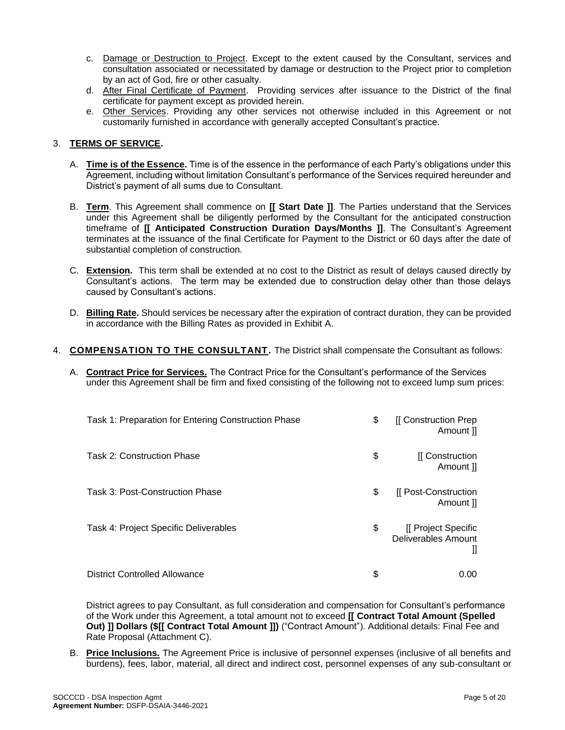- c. Damage or Destruction to Project. Except to the extent caused by the Consultant, services and consultation associated or necessitated by damage or destruction to the Project prior to completion by an act of God, fire or other casualty.
- d. After Final Certificate of Payment. Providing services after issuance to the District of the final certificate for payment except as provided herein.
- e. Other Services. Providing any other services not otherwise included in this Agreement or not customarily furnished in accordance with generally accepted Consultant's practice.

#### 3. **TERMS OF SERVICE.**

- A. **Time is of the Essence.** Time is of the essence in the performance of each Party's obligations under this Agreement, including without limitation Consultant's performance of the Services required hereunder and District's payment of all sums due to Consultant.
- B. **Term**. This Agreement shall commence on **[[ Start Date ]]**. The Parties understand that the Services under this Agreement shall be diligently performed by the Consultant for the anticipated construction timeframe of **[[ Anticipated Construction Duration Days/Months ]]**. The Consultant's Agreement terminates at the issuance of the final Certificate for Payment to the District or 60 days after the date of substantial completion of construction.
- C. **Extension.** This term shall be extended at no cost to the District as result of delays caused directly by Consultant's actions. The term may be extended due to construction delay other than those delays caused by Consultant's actions.
- D. **Billing Rate.** Should services be necessary after the expiration of contract duration, they can be provided in accordance with the Billing Rates as provided in Exhibit A.
- 4. **COMPENSATION TO THE CONSULTANT.** The District shall compensate the Consultant as follows:
	- A. **Contract Price for Services.** The Contract Price for the Consultant's performance of the Services under this Agreement shall be firm and fixed consisting of the following not to exceed lump sum prices:

| Task 1: Preparation for Entering Construction Phase | \$<br>[[ Construction Prep<br>Amount ]]                      |
|-----------------------------------------------------|--------------------------------------------------------------|
| Task 2: Construction Phase                          | \$<br>[[ Construction<br>Amount II                           |
| Task 3: Post-Construction Phase                     | \$<br>[[ Post-Construction<br>Amount ]]                      |
| Task 4: Project Specific Deliverables               | \$<br>[[ Project Specific<br><b>Deliverables Amount</b><br>Ш |
| <b>District Controlled Allowance</b>                | \$<br>0.00                                                   |

District agrees to pay Consultant, as full consideration and compensation for Consultant's performance of the Work under this Agreement, a total amount not to exceed **[[ Contract Total Amount (Spelled Out) ]] Dollars (\$[[ Contract Total Amount ]])** ("Contract Amount"). Additional details: Final Fee and Rate Proposal (Attachment C).

B. **Price Inclusions.** The Agreement Price is inclusive of personnel expenses (inclusive of all benefits and burdens), fees, labor, material, all direct and indirect cost, personnel expenses of any sub-consultant or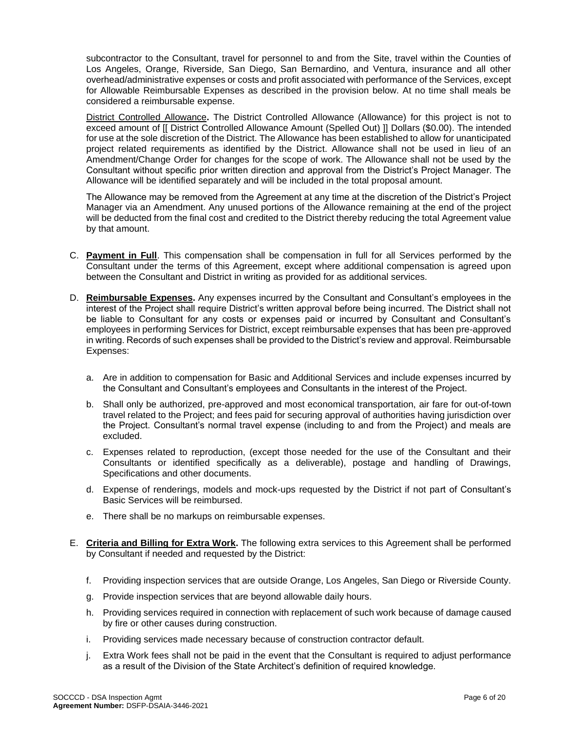subcontractor to the Consultant, travel for personnel to and from the Site, travel within the Counties of Los Angeles, Orange, Riverside, San Diego, San Bernardino, and Ventura, insurance and all other overhead/administrative expenses or costs and profit associated with performance of the Services, except for Allowable Reimbursable Expenses as described in the provision below. At no time shall meals be considered a reimbursable expense.

District Controlled Allowance**.** The District Controlled Allowance (Allowance) for this project is not to exceed amount of [[ District Controlled Allowance Amount (Spelled Out) ]] Dollars (\$0.00). The intended for use at the sole discretion of the District. The Allowance has been established to allow for unanticipated project related requirements as identified by the District. Allowance shall not be used in lieu of an Amendment/Change Order for changes for the scope of work. The Allowance shall not be used by the Consultant without specific prior written direction and approval from the District's Project Manager. The Allowance will be identified separately and will be included in the total proposal amount.

The Allowance may be removed from the Agreement at any time at the discretion of the District's Project Manager via an Amendment. Any unused portions of the Allowance remaining at the end of the project will be deducted from the final cost and credited to the District thereby reducing the total Agreement value by that amount.

- C. **Payment in Full**. This compensation shall be compensation in full for all Services performed by the Consultant under the terms of this Agreement, except where additional compensation is agreed upon between the Consultant and District in writing as provided for as additional services.
- D. **Reimbursable Expenses.** Any expenses incurred by the Consultant and Consultant's employees in the interest of the Project shall require District's written approval before being incurred. The District shall not be liable to Consultant for any costs or expenses paid or incurred by Consultant and Consultant's employees in performing Services for District, except reimbursable expenses that has been pre-approved in writing. Records of such expenses shall be provided to the District's review and approval. Reimbursable Expenses:
	- a. Are in addition to compensation for Basic and Additional Services and include expenses incurred by the Consultant and Consultant's employees and Consultants in the interest of the Project.
	- b. Shall only be authorized, pre-approved and most economical transportation, air fare for out-of-town travel related to the Project; and fees paid for securing approval of authorities having jurisdiction over the Project. Consultant's normal travel expense (including to and from the Project) and meals are excluded.
	- c. Expenses related to reproduction, (except those needed for the use of the Consultant and their Consultants or identified specifically as a deliverable), postage and handling of Drawings, Specifications and other documents.
	- d. Expense of renderings, models and mock-ups requested by the District if not part of Consultant's Basic Services will be reimbursed.
	- e. There shall be no markups on reimbursable expenses.
- E. **Criteria and Billing for Extra Work.** The following extra services to this Agreement shall be performed by Consultant if needed and requested by the District:
	- f. Providing inspection services that are outside Orange, Los Angeles, San Diego or Riverside County.
	- g. Provide inspection services that are beyond allowable daily hours.
	- h. Providing services required in connection with replacement of such work because of damage caused by fire or other causes during construction.
	- i. Providing services made necessary because of construction contractor default.
	- j. Extra Work fees shall not be paid in the event that the Consultant is required to adjust performance as a result of the Division of the State Architect's definition of required knowledge.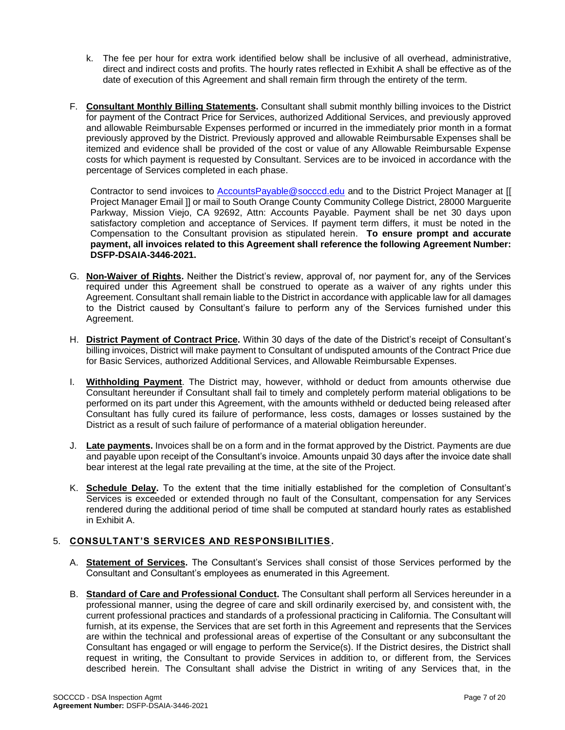- k. The fee per hour for extra work identified below shall be inclusive of all overhead, administrative, direct and indirect costs and profits. The hourly rates reflected in Exhibit A shall be effective as of the date of execution of this Agreement and shall remain firm through the entirety of the term.
- F. **Consultant Monthly Billing Statements.** Consultant shall submit monthly billing invoices to the District for payment of the Contract Price for Services, authorized Additional Services, and previously approved and allowable Reimbursable Expenses performed or incurred in the immediately prior month in a format previously approved by the District. Previously approved and allowable Reimbursable Expenses shall be itemized and evidence shall be provided of the cost or value of any Allowable Reimbursable Expense costs for which payment is requested by Consultant. Services are to be invoiced in accordance with the percentage of Services completed in each phase.

Contractor to send invoices to [AccountsPayable@socccd.edu](mailto:AccountsPayable@socccd.edu) and to the District Project Manager at [[ Project Manager Email ]] or mail to South Orange County Community College District, 28000 Marguerite Parkway, Mission Viejo, CA 92692, Attn: Accounts Payable. Payment shall be net 30 days upon satisfactory completion and acceptance of Services. If payment term differs, it must be noted in the Compensation to the Consultant provision as stipulated herein. **To ensure prompt and accurate payment, all invoices related to this Agreement shall reference the following Agreement Number: DSFP-DSAIA-3446-2021.**

- G. **Non-Waiver of Rights.** Neither the District's review, approval of, nor payment for, any of the Services required under this Agreement shall be construed to operate as a waiver of any rights under this Agreement. Consultant shall remain liable to the District in accordance with applicable law for all damages to the District caused by Consultant's failure to perform any of the Services furnished under this Agreement.
- H. **District Payment of Contract Price.** Within 30 days of the date of the District's receipt of Consultant's billing invoices, District will make payment to Consultant of undisputed amounts of the Contract Price due for Basic Services, authorized Additional Services, and Allowable Reimbursable Expenses.
- I. **Withholding Payment**. The District may, however, withhold or deduct from amounts otherwise due Consultant hereunder if Consultant shall fail to timely and completely perform material obligations to be performed on its part under this Agreement, with the amounts withheld or deducted being released after Consultant has fully cured its failure of performance, less costs, damages or losses sustained by the District as a result of such failure of performance of a material obligation hereunder.
- J. **Late payments.** Invoices shall be on a form and in the format approved by the District. Payments are due and payable upon receipt of the Consultant's invoice. Amounts unpaid 30 days after the invoice date shall bear interest at the legal rate prevailing at the time, at the site of the Project.
- K. **Schedule Delay.** To the extent that the time initially established for the completion of Consultant's Services is exceeded or extended through no fault of the Consultant, compensation for any Services rendered during the additional period of time shall be computed at standard hourly rates as established in Exhibit A.

### 5. **CONSULTANT'S SERVICES AND RESPONSIBILITIES.**

- A. **Statement of Services.** The Consultant's Services shall consist of those Services performed by the Consultant and Consultant's employees as enumerated in this Agreement.
- B. **Standard of Care and Professional Conduct.** The Consultant shall perform all Services hereunder in a professional manner, using the degree of care and skill ordinarily exercised by, and consistent with, the current professional practices and standards of a professional practicing in California. The Consultant will furnish, at its expense, the Services that are set forth in this Agreement and represents that the Services are within the technical and professional areas of expertise of the Consultant or any subconsultant the Consultant has engaged or will engage to perform the Service(s). If the District desires, the District shall request in writing, the Consultant to provide Services in addition to, or different from, the Services described herein. The Consultant shall advise the District in writing of any Services that, in the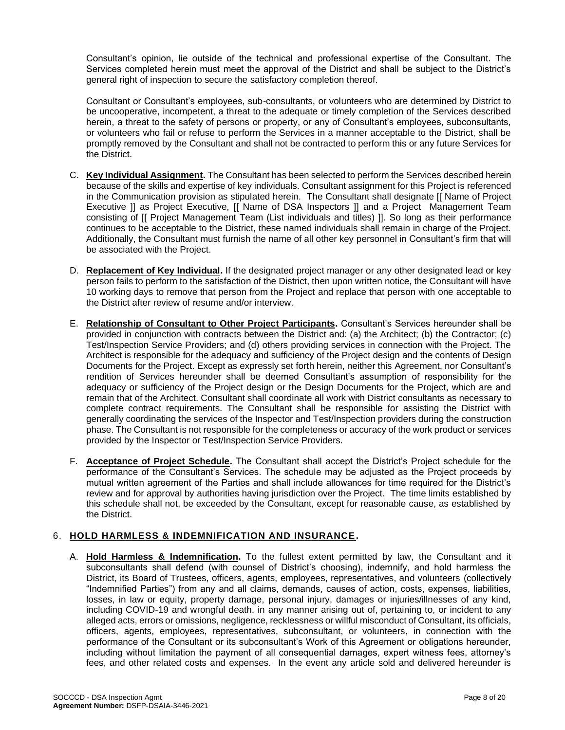Consultant's opinion, lie outside of the technical and professional expertise of the Consultant. The Services completed herein must meet the approval of the District and shall be subject to the District's general right of inspection to secure the satisfactory completion thereof.

Consultant or Consultant's employees, sub-consultants, or volunteers who are determined by District to be uncooperative, incompetent, a threat to the adequate or timely completion of the Services described herein, a threat to the safety of persons or property, or any of Consultant's employees, subconsultants, or volunteers who fail or refuse to perform the Services in a manner acceptable to the District, shall be promptly removed by the Consultant and shall not be contracted to perform this or any future Services for the District.

- C. **Key Individual Assignment.** The Consultant has been selected to perform the Services described herein because of the skills and expertise of key individuals. Consultant assignment for this Project is referenced in the Communication provision as stipulated herein. The Consultant shall designate [[ Name of Project Executive ]] as Project Executive, [[ Name of DSA Inspectors ]] and a Project Management Team consisting of [[ Project Management Team (List individuals and titles) ]]. So long as their performance continues to be acceptable to the District, these named individuals shall remain in charge of the Project. Additionally, the Consultant must furnish the name of all other key personnel in Consultant's firm that will be associated with the Project.
- D. **Replacement of Key Individual.** If the designated project manager or any other designated lead or key person fails to perform to the satisfaction of the District, then upon written notice, the Consultant will have 10 working days to remove that person from the Project and replace that person with one acceptable to the District after review of resume and/or interview.
- E. **Relationship of Consultant to Other Project Participants.** Consultant's Services hereunder shall be provided in conjunction with contracts between the District and: (a) the Architect; (b) the Contractor; (c) Test/Inspection Service Providers; and (d) others providing services in connection with the Project. The Architect is responsible for the adequacy and sufficiency of the Project design and the contents of Design Documents for the Project. Except as expressly set forth herein, neither this Agreement, nor Consultant's rendition of Services hereunder shall be deemed Consultant's assumption of responsibility for the adequacy or sufficiency of the Project design or the Design Documents for the Project, which are and remain that of the Architect. Consultant shall coordinate all work with District consultants as necessary to complete contract requirements. The Consultant shall be responsible for assisting the District with generally coordinating the services of the Inspector and Test/Inspection providers during the construction phase. The Consultant is not responsible for the completeness or accuracy of the work product or services provided by the Inspector or Test/Inspection Service Providers.
- F. **Acceptance of Project Schedule.** The Consultant shall accept the District's Project schedule for the performance of the Consultant's Services. The schedule may be adjusted as the Project proceeds by mutual written agreement of the Parties and shall include allowances for time required for the District's review and for approval by authorities having jurisdiction over the Project. The time limits established by this schedule shall not, be exceeded by the Consultant, except for reasonable cause, as established by the District.

### 6. **HOLD HARMLESS & INDEMNIFICATION AND INSURANCE.**

A. **Hold Harmless & Indemnification.** To the fullest extent permitted by law, the Consultant and it subconsultants shall defend (with counsel of District's choosing), indemnify, and hold harmless the District, its Board of Trustees, officers, agents, employees, representatives, and volunteers (collectively "Indemnified Parties") from any and all claims, demands, causes of action, costs, expenses, liabilities, losses, in law or equity, property damage, personal injury, damages or injuries/illnesses of any kind, including COVID-19 and wrongful death, in any manner arising out of, pertaining to, or incident to any alleged acts, errors or omissions, negligence, recklessness or willful misconduct of Consultant, its officials, officers, agents, employees, representatives, subconsultant, or volunteers, in connection with the performance of the Consultant or its subconsultant's Work of this Agreement or obligations hereunder, including without limitation the payment of all consequential damages, expert witness fees, attorney's fees, and other related costs and expenses. In the event any article sold and delivered hereunder is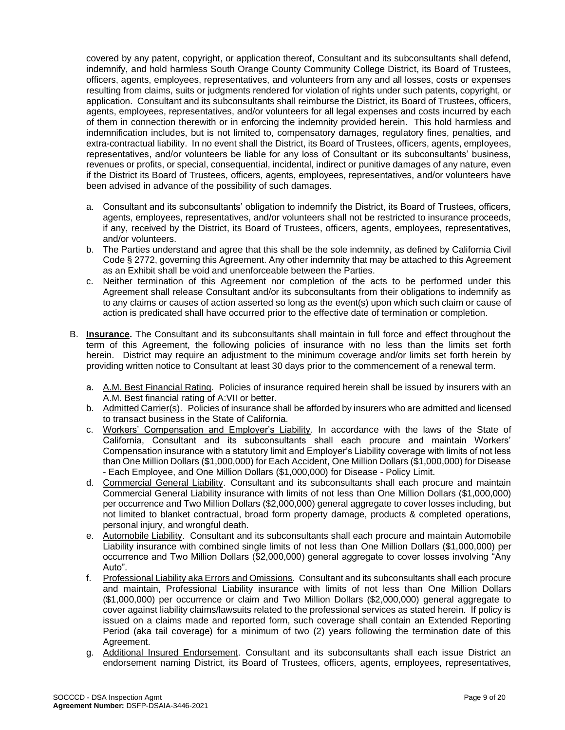covered by any patent, copyright, or application thereof, Consultant and its subconsultants shall defend, indemnify, and hold harmless South Orange County Community College District, its Board of Trustees, officers, agents, employees, representatives, and volunteers from any and all losses, costs or expenses resulting from claims, suits or judgments rendered for violation of rights under such patents, copyright, or application. Consultant and its subconsultants shall reimburse the District, its Board of Trustees, officers, agents, employees, representatives, and/or volunteers for all legal expenses and costs incurred by each of them in connection therewith or in enforcing the indemnity provided herein. This hold harmless and indemnification includes, but is not limited to, compensatory damages, regulatory fines, penalties, and extra-contractual liability. In no event shall the District, its Board of Trustees, officers, agents, employees, representatives, and/or volunteers be liable for any loss of Consultant or its subconsultants' business, revenues or profits, or special, consequential, incidental, indirect or punitive damages of any nature, even if the District its Board of Trustees, officers, agents, employees, representatives, and/or volunteers have been advised in advance of the possibility of such damages.

- a. Consultant and its subconsultants' obligation to indemnify the District, its Board of Trustees, officers, agents, employees, representatives, and/or volunteers shall not be restricted to insurance proceeds, if any, received by the District, its Board of Trustees, officers, agents, employees, representatives, and/or volunteers.
- b. The Parties understand and agree that this shall be the sole indemnity, as defined by California Civil Code § 2772, governing this Agreement. Any other indemnity that may be attached to this Agreement as an Exhibit shall be void and unenforceable between the Parties.
- c. Neither termination of this Agreement nor completion of the acts to be performed under this Agreement shall release Consultant and/or its subconsultants from their obligations to indemnify as to any claims or causes of action asserted so long as the event(s) upon which such claim or cause of action is predicated shall have occurred prior to the effective date of termination or completion.
- B. **Insurance.** The Consultant and its subconsultants shall maintain in full force and effect throughout the term of this Agreement, the following policies of insurance with no less than the limits set forth herein. District may require an adjustment to the minimum coverage and/or limits set forth herein by providing written notice to Consultant at least 30 days prior to the commencement of a renewal term.
	- a. A.M. Best Financial Rating.Policies of insurance required herein shall be issued by insurers with an A.M. Best financial rating of A:VII or better.
	- b. Admitted Carrier(s). Policies of insurance shall be afforded by insurers who are admitted and licensed to transact business in the State of California.
	- c. Workers' Compensation and Employer's Liability.In accordance with the laws of the State of California, Consultant and its subconsultants shall each procure and maintain Workers' Compensation insurance with a statutory limit and Employer's Liability coverage with limits of not less than One Million Dollars (\$1,000,000) for Each Accident, One Million Dollars (\$1,000,000) for Disease - Each Employee, and One Million Dollars (\$1,000,000) for Disease - Policy Limit.
	- d. Commercial General Liability. Consultant and its subconsultants shall each procure and maintain Commercial General Liability insurance with limits of not less than One Million Dollars (\$1,000,000) per occurrence and Two Million Dollars (\$2,000,000) general aggregate to cover losses including, but not limited to blanket contractual, broad form property damage, products & completed operations, personal injury, and wrongful death.
	- e. Automobile Liability. Consultant and its subconsultants shall each procure and maintain Automobile Liability insurance with combined single limits of not less than One Million Dollars (\$1,000,000) per occurrence and Two Million Dollars (\$2,000,000) general aggregate to cover losses involving "Any Auto".
	- f. Professional Liability aka Errors and Omissions.Consultant and its subconsultants shall each procure and maintain, Professional Liability insurance with limits of not less than One Million Dollars (\$1,000,000) per occurrence or claim and Two Million Dollars (\$2,000,000) general aggregate to cover against liability claims/lawsuits related to the professional services as stated herein. If policy is issued on a claims made and reported form, such coverage shall contain an Extended Reporting Period (aka tail coverage) for a minimum of two (2) years following the termination date of this Agreement.
	- g. Additional Insured Endorsement. Consultant and its subconsultants shall each issue District an endorsement naming District, its Board of Trustees, officers, agents, employees, representatives,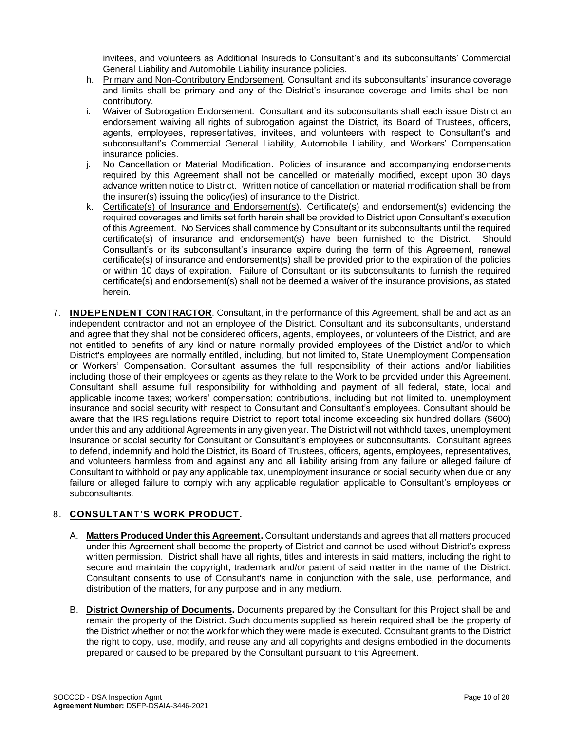invitees, and volunteers as Additional Insureds to Consultant's and its subconsultants' Commercial General Liability and Automobile Liability insurance policies.

- h. Primary and Non-Contributory Endorsement. Consultant and its subconsultants' insurance coverage and limits shall be primary and any of the District's insurance coverage and limits shall be noncontributory.
- i. Waiver of Subrogation Endorsement. Consultant and its subconsultants shall each issue District an endorsement waiving all rights of subrogation against the District, its Board of Trustees, officers, agents, employees, representatives, invitees, and volunteers with respect to Consultant's and subconsultant's Commercial General Liability, Automobile Liability, and Workers' Compensation insurance policies.
- j. No Cancellation or Material Modification. Policies of insurance and accompanying endorsements required by this Agreement shall not be cancelled or materially modified, except upon 30 days advance written notice to District. Written notice of cancellation or material modification shall be from the insurer(s) issuing the policy(ies) of insurance to the District.
- k. Certificate(s) of Insurance and Endorsement(s). Certificate(s) and endorsement(s) evidencing the required coverages and limits set forth herein shall be provided to District upon Consultant's execution of this Agreement. No Services shall commence by Consultant or its subconsultants until the required certificate(s) of insurance and endorsement(s) have been furnished to the District. Should Consultant's or its subconsultant's insurance expire during the term of this Agreement, renewal certificate(s) of insurance and endorsement(s) shall be provided prior to the expiration of the policies or within 10 days of expiration. Failure of Consultant or its subconsultants to furnish the required certificate(s) and endorsement(s) shall not be deemed a waiver of the insurance provisions, as stated herein.
- 7. **INDEPENDENT CONTRACTOR**. Consultant, in the performance of this Agreement, shall be and act as an independent contractor and not an employee of the District. Consultant and its subconsultants, understand and agree that they shall not be considered officers, agents, employees, or volunteers of the District, and are not entitled to benefits of any kind or nature normally provided employees of the District and/or to which District's employees are normally entitled, including, but not limited to, State Unemployment Compensation or Workers' Compensation. Consultant assumes the full responsibility of their actions and/or liabilities including those of their employees or agents as they relate to the Work to be provided under this Agreement. Consultant shall assume full responsibility for withholding and payment of all federal, state, local and applicable income taxes; workers' compensation; contributions, including but not limited to, unemployment insurance and social security with respect to Consultant and Consultant's employees. Consultant should be aware that the IRS regulations require District to report total income exceeding six hundred dollars (\$600) under this and any additional Agreements in any given year. The District will not withhold taxes, unemployment insurance or social security for Consultant or Consultant's employees or subconsultants. Consultant agrees to defend, indemnify and hold the District, its Board of Trustees, officers, agents, employees, representatives, and volunteers harmless from and against any and all liability arising from any failure or alleged failure of Consultant to withhold or pay any applicable tax, unemployment insurance or social security when due or any failure or alleged failure to comply with any applicable regulation applicable to Consultant's employees or subconsultants.

### 8. **CONSULTANT'S WORK PRODUCT.**

- A. **Matters Produced Under this Agreement.** Consultant understands and agrees that all matters produced under this Agreement shall become the property of District and cannot be used without District's express written permission. District shall have all rights, titles and interests in said matters, including the right to secure and maintain the copyright, trademark and/or patent of said matter in the name of the District. Consultant consents to use of Consultant's name in conjunction with the sale, use, performance, and distribution of the matters, for any purpose and in any medium.
- B. **District Ownership of Documents.** Documents prepared by the Consultant for this Project shall be and remain the property of the District. Such documents supplied as herein required shall be the property of the District whether or not the work for which they were made is executed. Consultant grants to the District the right to copy, use, modify, and reuse any and all copyrights and designs embodied in the documents prepared or caused to be prepared by the Consultant pursuant to this Agreement.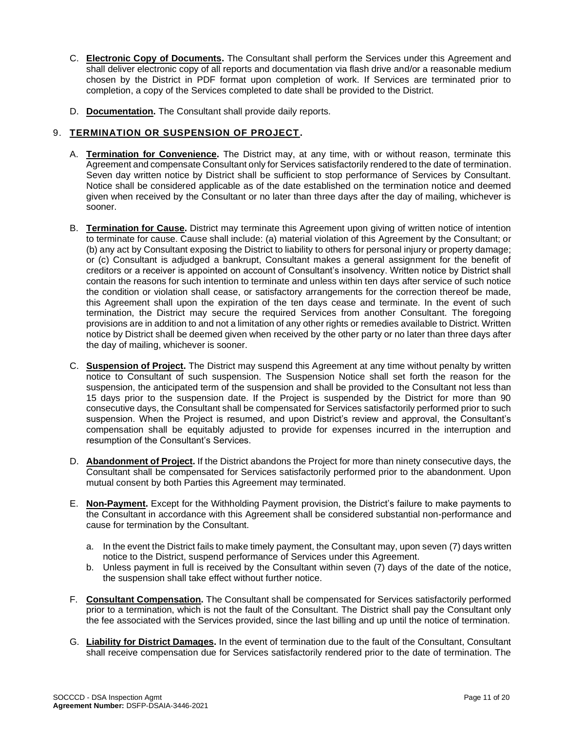- C. **Electronic Copy of Documents.** The Consultant shall perform the Services under this Agreement and shall deliver electronic copy of all reports and documentation via flash drive and/or a reasonable medium chosen by the District in PDF format upon completion of work. If Services are terminated prior to completion, a copy of the Services completed to date shall be provided to the District.
- D. **Documentation.** The Consultant shall provide daily reports.

#### 9. **TERMINATION OR SUSPENSION OF PROJECT.**

- A. **Termination for Convenience.** The District may, at any time, with or without reason, terminate this Agreement and compensate Consultant only for Services satisfactorily rendered to the date of termination. Seven day written notice by District shall be sufficient to stop performance of Services by Consultant. Notice shall be considered applicable as of the date established on the termination notice and deemed given when received by the Consultant or no later than three days after the day of mailing, whichever is sooner.
- B. **Termination for Cause.** District may terminate this Agreement upon giving of written notice of intention to terminate for cause. Cause shall include: (a) material violation of this Agreement by the Consultant; or (b) any act by Consultant exposing the District to liability to others for personal injury or property damage; or (c) Consultant is adjudged a bankrupt, Consultant makes a general assignment for the benefit of creditors or a receiver is appointed on account of Consultant's insolvency. Written notice by District shall contain the reasons for such intention to terminate and unless within ten days after service of such notice the condition or violation shall cease, or satisfactory arrangements for the correction thereof be made, this Agreement shall upon the expiration of the ten days cease and terminate. In the event of such termination, the District may secure the required Services from another Consultant. The foregoing provisions are in addition to and not a limitation of any other rights or remedies available to District. Written notice by District shall be deemed given when received by the other party or no later than three days after the day of mailing, whichever is sooner.
- C. **Suspension of Project.** The District may suspend this Agreement at any time without penalty by written notice to Consultant of such suspension. The Suspension Notice shall set forth the reason for the suspension, the anticipated term of the suspension and shall be provided to the Consultant not less than 15 days prior to the suspension date. If the Project is suspended by the District for more than 90 consecutive days, the Consultant shall be compensated for Services satisfactorily performed prior to such suspension. When the Project is resumed, and upon District's review and approval, the Consultant's compensation shall be equitably adjusted to provide for expenses incurred in the interruption and resumption of the Consultant's Services.
- D. **Abandonment of Project.** If the District abandons the Project for more than ninety consecutive days, the Consultant shall be compensated for Services satisfactorily performed prior to the abandonment. Upon mutual consent by both Parties this Agreement may terminated.
- E. **Non-Payment.** Except for the Withholding Payment provision, the District's failure to make payments to the Consultant in accordance with this Agreement shall be considered substantial non-performance and cause for termination by the Consultant.
	- a. In the event the District fails to make timely payment, the Consultant may, upon seven (7) days written notice to the District, suspend performance of Services under this Agreement.
	- b. Unless payment in full is received by the Consultant within seven (7) days of the date of the notice, the suspension shall take effect without further notice.
- F. **Consultant Compensation.** The Consultant shall be compensated for Services satisfactorily performed prior to a termination, which is not the fault of the Consultant. The District shall pay the Consultant only the fee associated with the Services provided, since the last billing and up until the notice of termination.
- G. **Liability for District Damages.** In the event of termination due to the fault of the Consultant, Consultant shall receive compensation due for Services satisfactorily rendered prior to the date of termination. The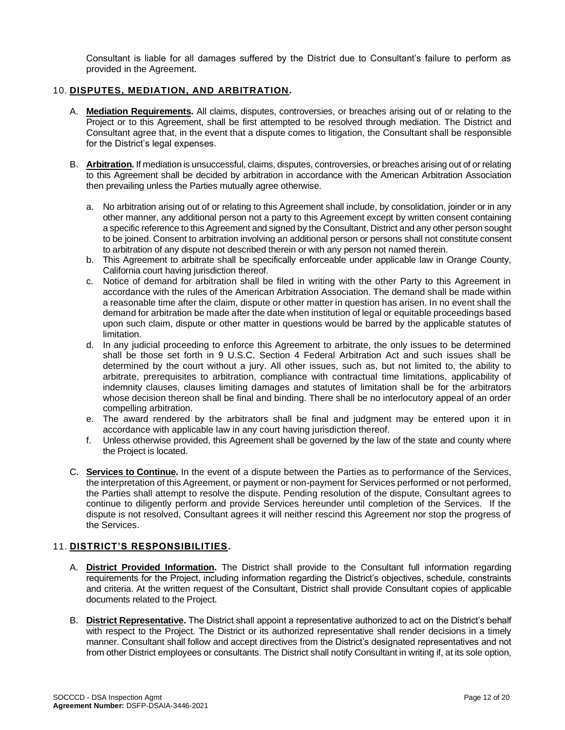Consultant is liable for all damages suffered by the District due to Consultant's failure to perform as provided in the Agreement.

#### 10. **DISPUTES, MEDIATION, AND ARBITRATION.**

- A. **Mediation Requirements.** All claims, disputes, controversies, or breaches arising out of or relating to the Project or to this Agreement, shall be first attempted to be resolved through mediation. The District and Consultant agree that, in the event that a dispute comes to litigation, the Consultant shall be responsible for the District's legal expenses.
- B. **Arbitration.**If mediation is unsuccessful, claims, disputes, controversies, or breaches arising out of or relating to this Agreement shall be decided by arbitration in accordance with the American Arbitration Association then prevailing unless the Parties mutually agree otherwise.
	- a. No arbitration arising out of or relating to this Agreement shall include, by consolidation, joinder or in any other manner, any additional person not a party to this Agreement except by written consent containing a specific reference to this Agreement and signed by the Consultant, District and any other person sought to be joined. Consent to arbitration involving an additional person or persons shall not constitute consent to arbitration of any dispute not described therein or with any person not named therein.
	- b. This Agreement to arbitrate shall be specifically enforceable under applicable law in Orange County, California court having jurisdiction thereof.
	- c. Notice of demand for arbitration shall be filed in writing with the other Party to this Agreement in accordance with the rules of the American Arbitration Association. The demand shall be made within a reasonable time after the claim, dispute or other matter in question has arisen. In no event shall the demand for arbitration be made after the date when institution of legal or equitable proceedings based upon such claim, dispute or other matter in questions would be barred by the applicable statutes of limitation.
	- d. In any judicial proceeding to enforce this Agreement to arbitrate, the only issues to be determined shall be those set forth in 9 U.S.C. Section 4 Federal Arbitration Act and such issues shall be determined by the court without a jury. All other issues, such as, but not limited to, the ability to arbitrate, prerequisites to arbitration, compliance with contractual time limitations, applicability of indemnity clauses, clauses limiting damages and statutes of limitation shall be for the arbitrators whose decision thereon shall be final and binding. There shall be no interlocutory appeal of an order compelling arbitration.
	- e. The award rendered by the arbitrators shall be final and judgment may be entered upon it in accordance with applicable law in any court having jurisdiction thereof.
	- f. Unless otherwise provided, this Agreement shall be governed by the law of the state and county where the Project is located.
- C. **Services to Continue.** In the event of a dispute between the Parties as to performance of the Services, the interpretation of this Agreement, or payment or non-payment for Services performed or not performed, the Parties shall attempt to resolve the dispute. Pending resolution of the dispute, Consultant agrees to continue to diligently perform and provide Services hereunder until completion of the Services. If the dispute is not resolved, Consultant agrees it will neither rescind this Agreement nor stop the progress of the Services.

#### 11. **DISTRICT'S RESPONSIBILITIES.**

- A. **District Provided Information.** The District shall provide to the Consultant full information regarding requirements for the Project, including information regarding the District's objectives, schedule, constraints and criteria. At the written request of the Consultant, District shall provide Consultant copies of applicable documents related to the Project.
- B. **District Representative.** The District shall appoint a representative authorized to act on the District's behalf with respect to the Project. The District or its authorized representative shall render decisions in a timely manner. Consultant shall follow and accept directives from the District's designated representatives and not from other District employees or consultants. The District shall notify Consultant in writing if, at its sole option,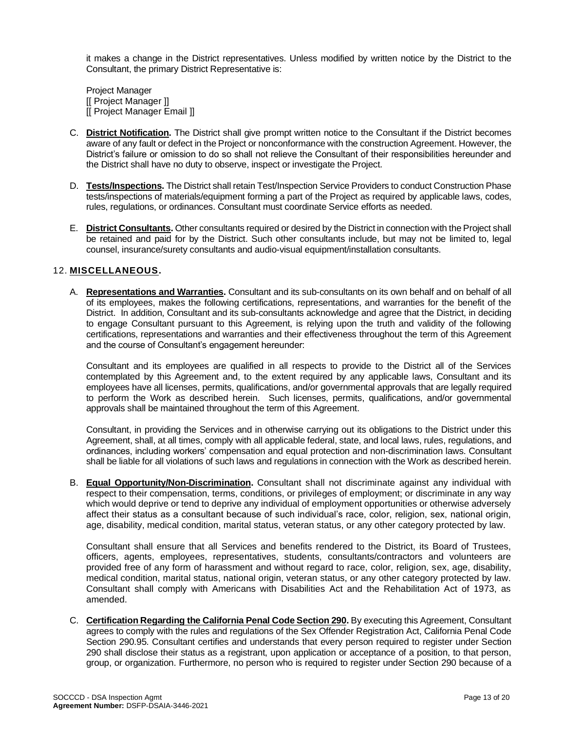it makes a change in the District representatives. Unless modified by written notice by the District to the Consultant, the primary District Representative is:

Project Manager [[ Project Manager ]] [[ Project Manager Email ]]

- C. **District Notification.** The District shall give prompt written notice to the Consultant if the District becomes aware of any fault or defect in the Project or nonconformance with the construction Agreement. However, the District's failure or omission to do so shall not relieve the Consultant of their responsibilities hereunder and the District shall have no duty to observe, inspect or investigate the Project.
- D. **Tests/Inspections.** The District shall retain Test/Inspection Service Providers to conduct Construction Phase tests/inspections of materials/equipment forming a part of the Project as required by applicable laws, codes, rules, regulations, or ordinances. Consultant must coordinate Service efforts as needed.
- E. **District Consultants.** Other consultants required or desired by the District in connection with the Project shall be retained and paid for by the District. Such other consultants include, but may not be limited to, legal counsel, insurance/surety consultants and audio-visual equipment/installation consultants.

#### 12. **MISCELLANEOUS.**

A. **Representations and Warranties.** Consultant and its sub-consultants on its own behalf and on behalf of all of its employees, makes the following certifications, representations, and warranties for the benefit of the District. In addition, Consultant and its sub-consultants acknowledge and agree that the District, in deciding to engage Consultant pursuant to this Agreement, is relying upon the truth and validity of the following certifications, representations and warranties and their effectiveness throughout the term of this Agreement and the course of Consultant's engagement hereunder:

Consultant and its employees are qualified in all respects to provide to the District all of the Services contemplated by this Agreement and, to the extent required by any applicable laws, Consultant and its employees have all licenses, permits, qualifications, and/or governmental approvals that are legally required to perform the Work as described herein. Such licenses, permits, qualifications, and/or governmental approvals shall be maintained throughout the term of this Agreement.

Consultant, in providing the Services and in otherwise carrying out its obligations to the District under this Agreement, shall, at all times, comply with all applicable federal, state, and local laws, rules, regulations, and ordinances, including workers' compensation and equal protection and non-discrimination laws. Consultant shall be liable for all violations of such laws and regulations in connection with the Work as described herein.

B. **Equal Opportunity/Non-Discrimination.** Consultant shall not discriminate against any individual with respect to their compensation, terms, conditions, or privileges of employment; or discriminate in any way which would deprive or tend to deprive any individual of employment opportunities or otherwise adversely affect their status as a consultant because of such individual's race, color, religion, sex, national origin, age, disability, medical condition, marital status, veteran status, or any other category protected by law.

Consultant shall ensure that all Services and benefits rendered to the District, its Board of Trustees, officers, agents, employees, representatives, students, consultants/contractors and volunteers are provided free of any form of harassment and without regard to race, color, religion, sex, age, disability, medical condition, marital status, national origin, veteran status, or any other category protected by law. Consultant shall comply with Americans with Disabilities Act and the Rehabilitation Act of 1973, as amended.

C. **Certification Regarding the California Penal Code Section 290.** By executing this Agreement, Consultant agrees to comply with the rules and regulations of the Sex Offender Registration Act, California Penal Code Section 290.95. Consultant certifies and understands that every person required to register under Section 290 shall disclose their status as a registrant, upon application or acceptance of a position, to that person, group, or organization. Furthermore, no person who is required to register under Section 290 because of a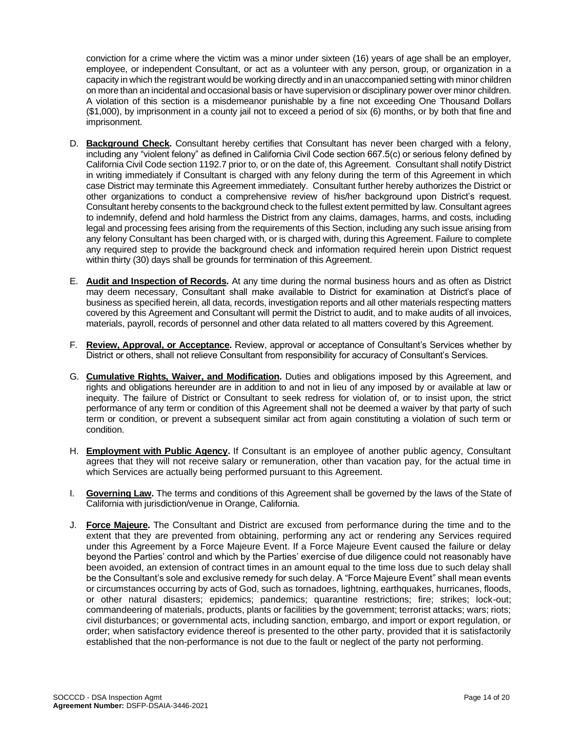conviction for a crime where the victim was a minor under sixteen (16) years of age shall be an employer, employee, or independent Consultant, or act as a volunteer with any person, group, or organization in a capacity in which the registrant would be working directly and in an unaccompanied setting with minor children on more than an incidental and occasional basis or have supervision or disciplinary power over minor children. A violation of this section is a misdemeanor punishable by a fine not exceeding One Thousand Dollars (\$1,000), by imprisonment in a county jail not to exceed a period of six (6) months, or by both that fine and imprisonment.

- D. **Background Check.** Consultant hereby certifies that Consultant has never been charged with a felony, including any "violent felony" as defined in California Civil Code section 667.5(c) or serious felony defined by California Civil Code section 1192.7 prior to, or on the date of, this Agreement. Consultant shall notify District in writing immediately if Consultant is charged with any felony during the term of this Agreement in which case District may terminate this Agreement immediately. Consultant further hereby authorizes the District or other organizations to conduct a comprehensive review of his/her background upon District's request. Consultant hereby consents to the background check to the fullest extent permitted by law. Consultant agrees to indemnify, defend and hold harmless the District from any claims, damages, harms, and costs, including legal and processing fees arising from the requirements of this Section, including any such issue arising from any felony Consultant has been charged with, or is charged with, during this Agreement. Failure to complete any required step to provide the background check and information required herein upon District request within thirty (30) days shall be grounds for termination of this Agreement.
- E. **Audit and Inspection of Records.** At any time during the normal business hours and as often as District may deem necessary, Consultant shall make available to District for examination at District's place of business as specified herein, all data, records, investigation reports and all other materials respecting matters covered by this Agreement and Consultant will permit the District to audit, and to make audits of all invoices, materials, payroll, records of personnel and other data related to all matters covered by this Agreement.
- F. **Review, Approval, or Acceptance.** Review, approval or acceptance of Consultant's Services whether by District or others, shall not relieve Consultant from responsibility for accuracy of Consultant's Services.
- G. **Cumulative Rights, Waiver, and Modification.** Duties and obligations imposed by this Agreement, and rights and obligations hereunder are in addition to and not in lieu of any imposed by or available at law or inequity. The failure of District or Consultant to seek redress for violation of, or to insist upon, the strict performance of any term or condition of this Agreement shall not be deemed a waiver by that party of such term or condition, or prevent a subsequent similar act from again constituting a violation of such term or condition.
- H. **Employment with Public Agency.** If Consultant is an employee of another public agency, Consultant agrees that they will not receive salary or remuneration, other than vacation pay, for the actual time in which Services are actually being performed pursuant to this Agreement.
- I. **Governing Law.** The terms and conditions of this Agreement shall be governed by the laws of the State of California with jurisdiction/venue in Orange, California.
- J. **Force Majeure.** The Consultant and District are excused from performance during the time and to the extent that they are prevented from obtaining, performing any act or rendering any Services required under this Agreement by a Force Majeure Event. If a Force Majeure Event caused the failure or delay beyond the Parties' control and which by the Parties' exercise of due diligence could not reasonably have been avoided, an extension of contract times in an amount equal to the time loss due to such delay shall be the Consultant's sole and exclusive remedy for such delay. A "Force Majeure Event" shall mean events or circumstances occurring by acts of God, such as tornadoes, lightning, earthquakes, hurricanes, floods, or other natural disasters; epidemics; pandemics; quarantine restrictions; fire; strikes; lock-out; commandeering of materials, products, plants or facilities by the government; terrorist attacks; wars; riots; civil disturbances; or governmental acts, including sanction, embargo, and import or export regulation, or order; when satisfactory evidence thereof is presented to the other party, provided that it is satisfactorily established that the non-performance is not due to the fault or neglect of the party not performing.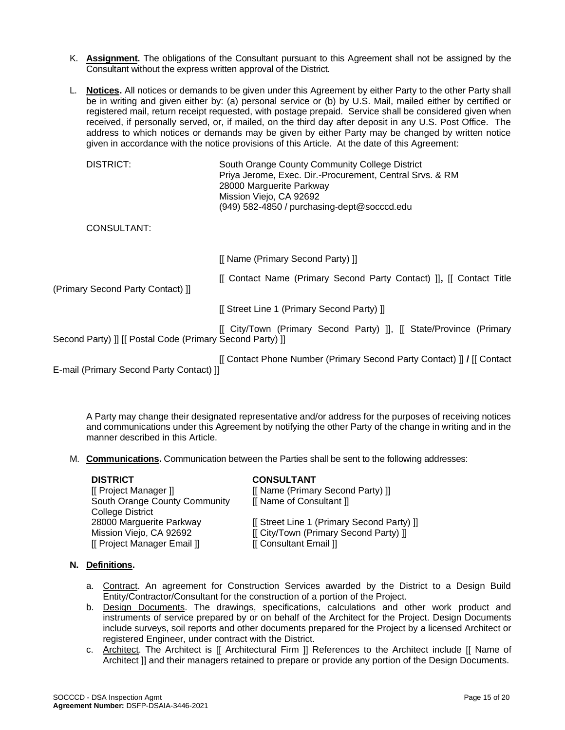- K. **Assignment.** The obligations of the Consultant pursuant to this Agreement shall not be assigned by the Consultant without the express written approval of the District.
- L. **Notices.** All notices or demands to be given under this Agreement by either Party to the other Party shall be in writing and given either by: (a) personal service or (b) by U.S. Mail, mailed either by certified or registered mail, return receipt requested, with postage prepaid. Service shall be considered given when received, if personally served, or, if mailed, on the third day after deposit in any U.S. Post Office. The address to which notices or demands may be given by either Party may be changed by written notice given in accordance with the notice provisions of this Article. At the date of this Agreement:

| <b>DISTRICT:</b>                                          | South Orange County Community College District<br>Priya Jerome, Exec. Dir.-Procurement, Central Srvs. & RM<br>28000 Marguerite Parkway<br>Mission Viejo, CA 92692<br>(949) 582-4850 / purchasing-dept@socccd.edu |
|-----------------------------------------------------------|------------------------------------------------------------------------------------------------------------------------------------------------------------------------------------------------------------------|
| CONSULTANT:                                               |                                                                                                                                                                                                                  |
|                                                           | [[ Name (Primary Second Party) ]]                                                                                                                                                                                |
| (Primary Second Party Contact) II                         | [[ Contact Name (Primary Second Party Contact) ]], [[ Contact Title                                                                                                                                              |
|                                                           | [[ Street Line 1 (Primary Second Party) ]]                                                                                                                                                                       |
| Second Party) ]] [[ Postal Code (Primary Second Party) ]] | [[ City/Town (Primary Second Party) ]], [[ State/Province (Primary                                                                                                                                               |
|                                                           | [[ Contact Phone Number (Primary Second Party Contact) ]] / [[ Contact                                                                                                                                           |

E-mail (Primary Second Party Contact) ]]

A Party may change their designated representative and/or address for the purposes of receiving notices and communications under this Agreement by notifying the other Party of the change in writing and in the manner described in this Article.

M. **Communications.** Communication between the Parties shall be sent to the following addresses:

| <b>DISTRICT</b>               | <b>CONSULTANT</b>                          |
|-------------------------------|--------------------------------------------|
| [[ Project Manager ]]         | [[ Name (Primary Second Party) ]]          |
| South Orange County Community | [[ Name of Consultant ]]                   |
| <b>College District</b>       |                                            |
| 28000 Marguerite Parkway      | [[ Street Line 1 (Primary Second Party) ]] |
| Mission Viejo, CA 92692       | [[ City/Town (Primary Second Party) ]]     |
| [[ Project Manager Email ]]   | [[ Consultant Email ]]                     |

#### **N. Definitions.**

- a. Contract. An agreement for Construction Services awarded by the District to a Design Build Entity/Contractor/Consultant for the construction of a portion of the Project.
- b. Design Documents. The drawings, specifications, calculations and other work product and instruments of service prepared by or on behalf of the Architect for the Project. Design Documents include surveys, soil reports and other documents prepared for the Project by a licensed Architect or registered Engineer, under contract with the District.
- c. Architect. The Architect is [[ Architectural Firm ]] References to the Architect include [[ Name of Architect ]] and their managers retained to prepare or provide any portion of the Design Documents.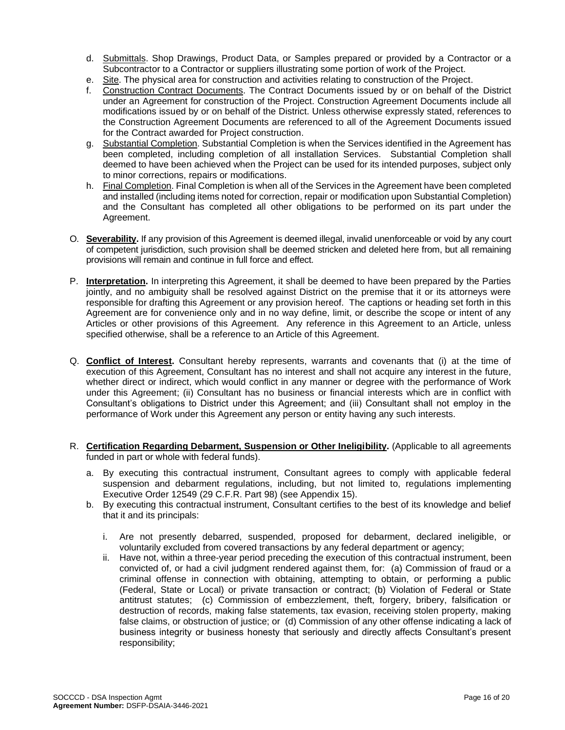- d. Submittals. Shop Drawings, Product Data, or Samples prepared or provided by a Contractor or a Subcontractor to a Contractor or suppliers illustrating some portion of work of the Project.
- e. Site. The physical area for construction and activities relating to construction of the Project.
- f. Construction Contract Documents. The Contract Documents issued by or on behalf of the District under an Agreement for construction of the Project. Construction Agreement Documents include all modifications issued by or on behalf of the District. Unless otherwise expressly stated, references to the Construction Agreement Documents are referenced to all of the Agreement Documents issued for the Contract awarded for Project construction.
- g. Substantial Completion. Substantial Completion is when the Services identified in the Agreement has been completed, including completion of all installation Services. Substantial Completion shall deemed to have been achieved when the Project can be used for its intended purposes, subject only to minor corrections, repairs or modifications.
- h. Final Completion. Final Completion is when all of the Services in the Agreement have been completed and installed (including items noted for correction, repair or modification upon Substantial Completion) and the Consultant has completed all other obligations to be performed on its part under the Agreement.
- O. **Severability.** If any provision of this Agreement is deemed illegal, invalid unenforceable or void by any court of competent jurisdiction, such provision shall be deemed stricken and deleted here from, but all remaining provisions will remain and continue in full force and effect.
- P. **Interpretation.** In interpreting this Agreement, it shall be deemed to have been prepared by the Parties jointly, and no ambiguity shall be resolved against District on the premise that it or its attorneys were responsible for drafting this Agreement or any provision hereof. The captions or heading set forth in this Agreement are for convenience only and in no way define, limit, or describe the scope or intent of any Articles or other provisions of this Agreement. Any reference in this Agreement to an Article, unless specified otherwise, shall be a reference to an Article of this Agreement.
- Q. **Conflict of Interest.** Consultant hereby represents, warrants and covenants that (i) at the time of execution of this Agreement, Consultant has no interest and shall not acquire any interest in the future, whether direct or indirect, which would conflict in any manner or degree with the performance of Work under this Agreement; (ii) Consultant has no business or financial interests which are in conflict with Consultant's obligations to District under this Agreement; and (iii) Consultant shall not employ in the performance of Work under this Agreement any person or entity having any such interests.
- R. **Certification Regarding Debarment, Suspension or Other Ineligibility.** (Applicable to all agreements funded in part or whole with federal funds).
	- a. By executing this contractual instrument, Consultant agrees to comply with applicable federal suspension and debarment regulations, including, but not limited to, regulations implementing Executive Order 12549 (29 C.F.R. Part 98) (see Appendix 15).
	- b. By executing this contractual instrument, Consultant certifies to the best of its knowledge and belief that it and its principals:
		- i. Are not presently debarred, suspended, proposed for debarment, declared ineligible, or voluntarily excluded from covered transactions by any federal department or agency;
		- ii. Have not, within a three-year period preceding the execution of this contractual instrument, been convicted of, or had a civil judgment rendered against them, for: (a) Commission of fraud or a criminal offense in connection with obtaining, attempting to obtain, or performing a public (Federal, State or Local) or private transaction or contract; (b) Violation of Federal or State antitrust statutes; (c) Commission of embezzlement, theft, forgery, bribery, falsification or destruction of records, making false statements, tax evasion, receiving stolen property, making false claims, or obstruction of justice; or (d) Commission of any other offense indicating a lack of business integrity or business honesty that seriously and directly affects Consultant's present responsibility;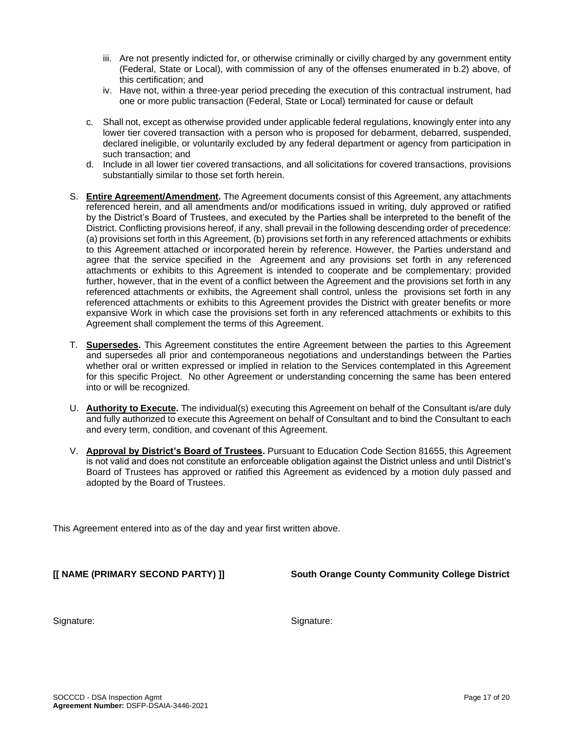- referenced herein, and all amendments and/or modifications issued in writing, duly approved or ratified by the District's Board of Trustees, and executed by the Parties shall be interpreted to the benefit of the District. Conflicting provisions hereof, if any, shall prevail in the following descending order of precedence:
	- (a) provisions set forth in this Agreement, (b) provisions set forth in any referenced attachments or exhibits to this Agreement attached or incorporated herein by reference. However, the Parties understand and agree that the service specified in the Agreement and any provisions set forth in any referenced attachments or exhibits to this Agreement is intended to cooperate and be complementary; provided further, however, that in the event of a conflict between the Agreement and the provisions set forth in any referenced attachments or exhibits, the Agreement shall control, unless the provisions set forth in any referenced attachments or exhibits to this Agreement provides the District with greater benefits or more expansive Work in which case the provisions set forth in any referenced attachments or exhibits to this Agreement shall complement the terms of this Agreement.

iii. Are not presently indicted for, or otherwise criminally or civilly charged by any government entity (Federal, State or Local), with commission of any of the offenses enumerated in b.2) above, of

iv. Have not, within a three-year period preceding the execution of this contractual instrument, had one or more public transaction (Federal, State or Local) terminated for cause or default

c. Shall not, except as otherwise provided under applicable federal regulations, knowingly enter into any lower tier covered transaction with a person who is proposed for debarment, debarred, suspended, declared ineligible, or voluntarily excluded by any federal department or agency from participation in

d. Include in all lower tier covered transactions, and all solicitations for covered transactions, provisions

S. **Entire Agreement/Amendment.** The Agreement documents consist of this Agreement, any attachments

- T. **Supersedes.** This Agreement constitutes the entire Agreement between the parties to this Agreement and supersedes all prior and contemporaneous negotiations and understandings between the Parties whether oral or written expressed or implied in relation to the Services contemplated in this Agreement for this specific Project. No other Agreement or understanding concerning the same has been entered into or will be recognized.
- U. **Authority to Execute.** The individual(s) executing this Agreement on behalf of the Consultant is/are duly and fully authorized to execute this Agreement on behalf of Consultant and to bind the Consultant to each and every term, condition, and covenant of this Agreement.
- V. **Approval by District's Board of Trustees.** Pursuant to Education Code Section 81655, this Agreement is not valid and does not constitute an enforceable obligation against the District unless and until District's Board of Trustees has approved or ratified this Agreement as evidenced by a motion duly passed and adopted by the Board of Trustees.

This Agreement entered into as of the day and year first written above.

this certification; and

such transaction; and

substantially similar to those set forth herein.

**[[ NAME (PRIMARY SECOND PARTY) ]] South Orange County Community College District**

Signature:

Signature: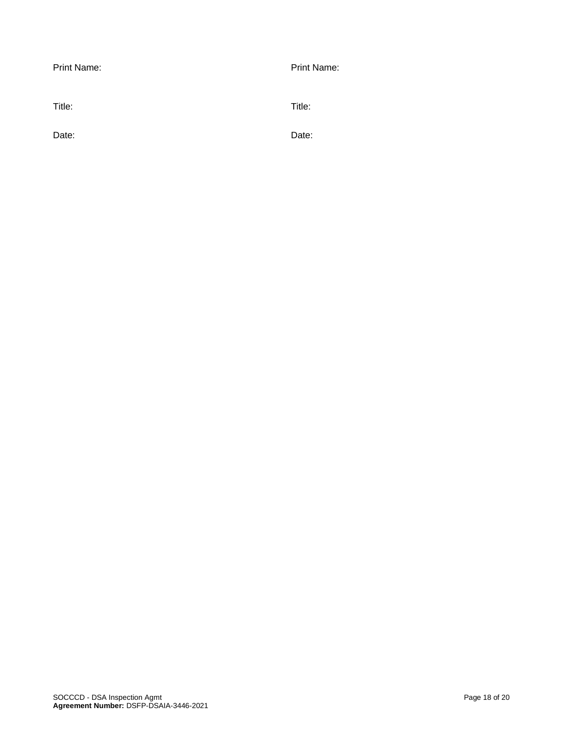| Print Name: | Print Name: |
|-------------|-------------|
| Title:      | Title:      |
| Date:       | Date:       |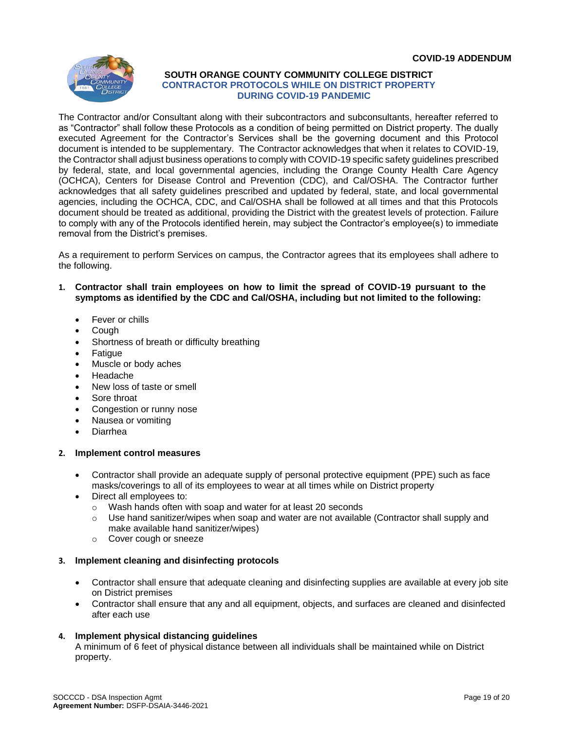

#### **SOUTH ORANGE COUNTY COMMUNITY COLLEGE DISTRICT CONTRACTOR PROTOCOLS WHILE ON DISTRICT PROPERTY DURING COVID-19 PANDEMIC**

The Contractor and/or Consultant along with their subcontractors and subconsultants, hereafter referred to as "Contractor" shall follow these Protocols as a condition of being permitted on District property. The dually executed Agreement for the Contractor's Services shall be the governing document and this Protocol document is intended to be supplementary. The Contractor acknowledges that when it relates to COVID-19, the Contractor shall adjust business operations to comply with COVID-19 specific safety guidelines prescribed by federal, state, and local governmental agencies, including the Orange County Health Care Agency (OCHCA), Centers for Disease Control and Prevention (CDC), and Cal/OSHA. The Contractor further acknowledges that all safety guidelines prescribed and updated by federal, state, and local governmental agencies, including the OCHCA, CDC, and Cal/OSHA shall be followed at all times and that this Protocols document should be treated as additional, providing the District with the greatest levels of protection. Failure to comply with any of the Protocols identified herein, may subject the Contractor's employee(s) to immediate removal from the District's premises.

As a requirement to perform Services on campus, the Contractor agrees that its employees shall adhere to the following.

- **1. Contractor shall train employees on how to limit the spread of COVID-19 pursuant to the symptoms as identified by the CDC and Cal/OSHA, including but not limited to the following:**
	- Fever or chills
	- Cough
	- Shortness of breath or difficulty breathing
	- **Fatigue**
	- Muscle or body aches
	- Headache
	- New loss of taste or smell
	- Sore throat
	- Congestion or runny nose
	- Nausea or vomiting
	- Diarrhea

#### **2. Implement control measures**

- Contractor shall provide an adequate supply of personal protective equipment (PPE) such as face masks/coverings to all of its employees to wear at all times while on District property
- Direct all employees to:
	- o Wash hands often with soap and water for at least 20 seconds
	- $\circ$  Use hand sanitizer/wipes when soap and water are not available (Contractor shall supply and make available hand sanitizer/wipes)
	- o Cover cough or sneeze

#### **3. Implement cleaning and disinfecting protocols**

- Contractor shall ensure that adequate cleaning and disinfecting supplies are available at every job site on District premises
- Contractor shall ensure that any and all equipment, objects, and surfaces are cleaned and disinfected after each use

#### **4. Implement physical distancing guidelines**

A minimum of 6 feet of physical distance between all individuals shall be maintained while on District property.